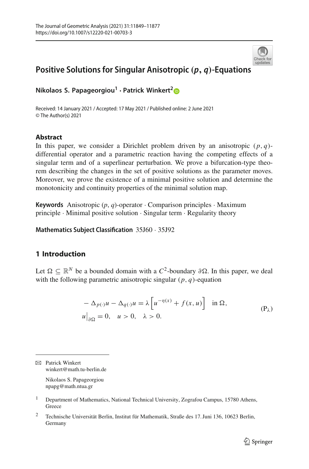

# **Positive Solutions for Singular Anisotropic** *(p, q)***-Equations**

**Nikolaos S. Papageorgiou<sup>1</sup> · Patrick Winkert[2](http://orcid.org/0000-0003-0320-7026)**

Received: 14 January 2021 / Accepted: 17 May 2021 / Published online: 2 June 2021 © The Author(s) 2021

### **Abstract**

In this paper, we consider a Dirichlet problem driven by an anisotropic  $(p, q)$ differential operator and a parametric reaction having the competing effects of a singular term and of a superlinear perturbation. We prove a bifurcation-type theorem describing the changes in the set of positive solutions as the parameter moves. Moreover, we prove the existence of a minimal positive solution and determine the monotonicity and continuity properties of the minimal solution map.

**Keywords** Anisotropic  $(p, q)$ -operator  $\cdot$  Comparison principles  $\cdot$  Maximum principle · Minimal positive solution · Singular term · Regularity theory

**Mathematics Subject Classification** 35J60 · 35J92

## **1 Introduction**

Let  $\Omega \subseteq \mathbb{R}^N$  be a bounded domain with a  $C^2$ -boundary  $\partial \Omega$ . In this paper, we deal with the following parametric anisotropic singular (*p*, *q*)-equation

<span id="page-0-0"></span>
$$
-\Delta_{p(\cdot)}u - \Delta_{q(\cdot)}u = \lambda \left[ u^{-\eta(x)} + f(x, u) \right] \text{ in } \Omega,
$$
  
\n
$$
u|_{\partial\Omega} = 0, \quad u > 0, \quad \lambda > 0.
$$
 (P<sub>\lambda</sub>)

 $\boxtimes$  Patrick Winkert winkert@math.tu-berlin.de

> Nikolaos S. Papageorgiou npapg@math.ntua.gr

- <sup>1</sup> Department of Mathematics, National Technical University, Zografou Campus, 15780 Athens, **Greece**
- <sup>2</sup> Technische Universität Berlin, Institut für Mathematik, Straße des 17. Juni 136, 10623 Berlin, Germany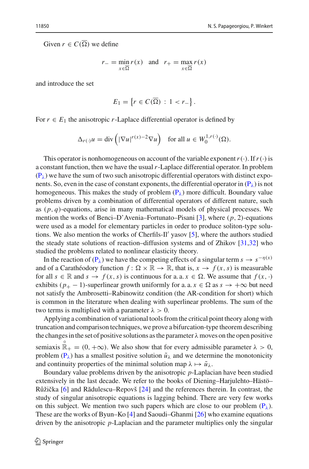Given  $r \in C(\Omega)$  we define

$$
r_{-} = \min_{x \in \overline{\Omega}} r(x) \text{ and } r_{+} = \max_{x \in \overline{\Omega}} r(x)
$$

and introduce the set

$$
E_1 = \left\{ r \in C(\overline{\Omega}) \, : \, 1 < r_- \right\}.
$$

For  $r \in E_1$  the anisotropic *r*-Laplace differential operator is defined by

$$
\Delta_{r(\cdot)} u = \text{div}\left( |\nabla u|^{r(x)-2} \nabla u \right) \quad \text{for all } u \in W_0^{1,r(\cdot)}(\Omega).
$$

This operator is nonhomogeneous on account of the variable exponent  $r(\cdot)$ . If  $r(\cdot)$  is a constant function, then we have the usual*r*-Laplace differential operator. In problem  $(P_{\lambda})$  $(P_{\lambda})$  we have the sum of two such anisotropic differential operators with distinct exponents. So, even in the case of constant exponents, the differential operator in  $(P_\lambda)$  $(P_\lambda)$  is not homogeneous. This makes the study of problem  $(P_{\lambda})$  $(P_{\lambda})$  more difficult. Boundary value problems driven by a combination of differential operators of different nature, such as  $(p, q)$ -equations, arise in many mathematical models of physical processes. We mention the works of Benci–D'Avenia–Fortunato–Pisani [\[3\]](#page-27-0), where (*p*, 2)-equations were used as a model for elementary particles in order to produce soliton-type solutions. We also mention the works of Cherfils-II' yasov  $[5]$  $[5]$ , where the authors studied the steady state solutions of reaction–diffusion systems and of Zhikov [\[31](#page-28-0)[,32](#page-28-1)] who studied the problems related to nonlinear elasticity theory.

In the reaction of ( $P_{\lambda}$ ) we have the competing effects of a singular term  $s \to s^{-\eta(x)}$ and of a Carathéodory function  $f: \Omega \times \mathbb{R} \to \mathbb{R}$ , that is,  $x \to f(x, s)$  is measurable for all  $s \in \mathbb{R}$  and  $s \to f(x, s)$  is continuous for a. a.  $x \in \Omega$ . We assume that  $f(x, \cdot)$ exhibits  $(p_{+} - 1)$ -superlinear growth uniformly for a. a.  $x \in \Omega$  as  $s \to +\infty$  but need not satisfy the Ambrosetti–Rabinowitz condition (the AR-condition for short) which is common in the literature when dealing with superlinear problems. The sum of the two terms is multiplied with a parameter  $\lambda > 0$ .

Applying a combination of variational tools from the critical point theory along with truncation and comparison techniques, we prove a bifurcation-type theorem describing the changes in the set of positive solutions as the parameter  $\lambda$  moves on the open positive semiaxis  $\mathbb{R}_+ = (0, +\infty)$ . We also show that for every admissible parameter  $\lambda > 0$ , problem  $(P_\lambda)$  $(P_\lambda)$  has a smallest positive solution  $\tilde{u}_\lambda$  and we determine the monotonicity and continuity properties of the minimal solution map  $\lambda \mapsto \tilde{u}_{\lambda}$ .

Boundary value problems driven by the anisotropic *p*-Laplacian have been studied extensively in the last decade. We refer to the books of Diening–Harjulehto–Hästö– Růžička  $[6]$  and Rădulescu–Repovš  $[24]$  $[24]$  and the references therein. In contrast, the study of singular anisotropic equations is lagging behind. There are very few works on this subject. We mention two such papers which are close to our problem  $(P_{\lambda})$  $(P_{\lambda})$ . These are the works of Byun–Ko [\[4](#page-27-3)] and Saoudi–Ghanmi [\[26](#page-28-3)] who examine equations driven by the anisotropic *p*-Laplacian and the parameter multiplies only the singular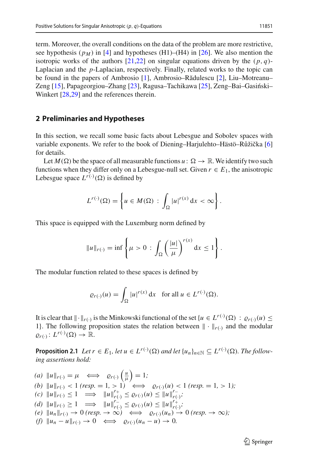term. Moreover, the overall conditions on the data of the problem are more restrictive, see hypothesis ( $p_M$ ) in [\[4](#page-27-3)] and hypotheses (H1)–(H4) in [\[26](#page-28-3)]. We also mention the isotropic works of the authors  $[21,22]$  $[21,22]$  on singular equations driven by the  $(p, q)$ -Laplacian and the *p*-Laplacian, respectively. Finally, related works to the topic can be found in the papers of Ambrosio [\[1](#page-27-4)], Ambrosio–Rădulescu [\[2](#page-27-5)], Liu–Motreanu– Zeng  $[15]$ , Papageorgiou–Zhang  $[23]$  $[23]$ , Ragusa–Tachikawa  $[25]$ , Zeng–Bai–Gasiński– Winkert [\[28](#page-28-8)[,29](#page-28-9)] and the references therein.

#### **2 Preliminaries and Hypotheses**

In this section, we recall some basic facts about Lebesgue and Sobolev spaces with variable exponents. We refer to the book of Diening–Harjulehto–Hästö–Růžička [\[6\]](#page-27-2) for details.

Let  $M(\Omega)$  be the space of all measurable functions  $u: \Omega \to \mathbb{R}$ . We identify two such functions when they differ only on a Lebesgue-null set. Given  $r \in E_1$ , the anisotropic Lebesgue space  $L^{r(\cdot)}(\Omega)$  is defined by

$$
L^{r(\cdot)}(\Omega) = \left\{ u \in M(\Omega) : \int_{\Omega} |u|^{r(x)} dx < \infty \right\}.
$$

This space is equipped with the Luxemburg norm defined by

$$
||u||_{r(\cdot)} = \inf \left\{ \mu > 0 : \int_{\Omega} \left( \frac{|u|}{\mu} \right)^{r(x)} dx \le 1 \right\}.
$$

The modular function related to these spaces is defined by

$$
\varrho_{r(\cdot)}(u) = \int_{\Omega} |u|^{r(x)} \, \mathrm{d}x \quad \text{for all } u \in L^{r(\cdot)}(\Omega).
$$

It is clear that  $\|\cdot\|_{r(\cdot)}$  is the Minkowski functional of the set  $\{u \in L^{r(\cdot)}(\Omega) : \varrho_{r(\cdot)}(u) \leq$ 1}. The following proposition states the relation between  $\|\cdot\|_{r(\cdot)}$  and the modular  $\varrho_{r(\cdot)}\colon L^{r(\cdot)}(\Omega)\to\mathbb{R}.$ 

<span id="page-2-0"></span>**Proposition 2.1** *Let*  $r \in E_1$ *, let*  $u \in L^{r(\cdot)}(\Omega)$  *and let*  $\{u_n\}_{n \in \mathbb{N}} \subseteq L^{r(\cdot)}(\Omega)$ *. The following assertions hold:*

*(a)*  $||u||_{r(\cdot)} = \mu \iff \varrho_{r(\cdot)}\left(\frac{u}{\mu}\right) = 1;$  $P(x)$   $\|u\|_{r(\cdot)} < 1$  (resp. = 1, > 1)  $\iff$   $\rho_{r(\cdot)}(u) < 1$  (resp. = 1, > 1);  $f(c)$   $\|u\|_{r(\cdot)} \leq 1$   $\implies$   $\|u\|_{r(\cdot)}^{r+1} \leq \varrho_{r(\cdot)}(u) \leq \|u\|_{r(\cdot)}^{r-1}$ *r*(·) *; (d)*  $||u||_{r(\cdot)} \ge 1 \implies ||u||_{r(\cdot)}^{r(\cdot)} \le \varrho_{r(\cdot)}(u) \le ||u||_{r(\cdot)}^{r(\cdot)}$ *r*(·) *;*  $(e)$   $\|u_n\|_{r(\cdot)} \to 0$  *(resp.*  $\to \infty$ )  $\iff$   $\varrho_{r(\cdot)}(u_n) \to 0$  *(resp.*  $\to \infty$ );  $(f)$   $\|u_n - u\|_{r(\cdot)} \to 0 \iff \varrho_{r(\cdot)}(u_n - u) \to 0.$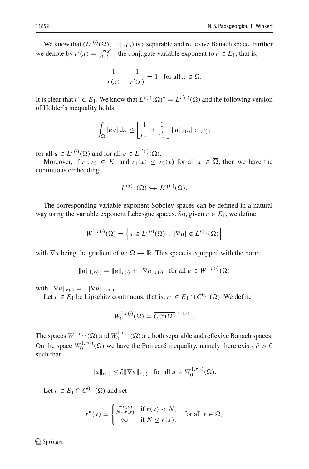We know that  $(L^{r(\cdot)}(\Omega), \|\cdot\|_{r(\cdot)})$  is a separable and reflexive Banach space. Further we denote by  $r'(x) = \frac{r(x)}{r(x)-1}$  the conjugate variable exponent to  $r \in E_1$ , that is,

$$
\frac{1}{r(x)} + \frac{1}{r'(x)} = 1 \quad \text{for all } x \in \overline{\Omega}.
$$

It is clear that  $r' \in E_1$ . We know that  $L^{r(\cdot)}(\Omega)^* = L^{r'(\cdot)}(\Omega)$  and the following version of Hölder's inequality holds

$$
\int_{\Omega} |uv| dx \leq \left[ \frac{1}{r_{-}} + \frac{1}{r'_{-}} \right] ||u||_{r(\cdot)} ||v||_{r'(\cdot)}
$$

for all  $u \in L^{r(\cdot)}(\Omega)$  and for all  $v \in L^{r'(\cdot)}(\Omega)$ .

Moreover, if  $r_1, r_2 \in E_1$  and  $r_1(x) \le r_2(x)$  for all  $x \in \Omega$ , then we have the continuous embedding

$$
L^{r_2(\cdot)}(\Omega) \hookrightarrow L^{r_1(\cdot)}(\Omega).
$$

The corresponding variable exponent Sobolev spaces can be defined in a natural way using the variable exponent Lebesgue spaces. So, given  $r \in E_1$ , we define

$$
W^{1,r(\cdot)}(\Omega) = \left\{ u \in L^{r(\cdot)}(\Omega) : |\nabla u| \in L^{r(\cdot)}(\Omega) \right\}
$$

with  $\nabla u$  being the gradient of  $u : \Omega \to \mathbb{R}$ . This space is equipped with the norm

$$
||u||_{1,r(\cdot)} = ||u||_{r(\cdot)} + ||\nabla u||_{r(\cdot)} \text{ for all } u \in W^{1,r(\cdot)}(\Omega)
$$

with  $\|\nabla u\|_{r(\cdot)} = \|\nabla u\|_{r(\cdot)}.$ 

Let *r*  $\in E_1$  be Lipschitz continuous, that is,  $r_1 \in E_1 \cap C^{0,1}(\overline{\Omega})$ . We define

$$
W_0^{1,r(\cdot)}(\Omega) = \overline{C_c^{\infty}(\Omega)}^{\|\cdot\|_{1,r(\cdot)}}.
$$

The spaces  $W^{1,r(\cdot)}(\Omega)$  and  $W_0^{1,r(\cdot)}(\Omega)$  are both separable and reflexive Banach spaces. On the space  $W_0^{1,r(\cdot)}(\Omega)$  we have the Poincaré inequality, namely there exists  $\hat{c} > 0$ such that

$$
||u||_{r(\cdot)} \leq \hat{c}||\nabla u||_{r(\cdot)}
$$
 for all  $u \in W_0^{1,r(\cdot)}(\Omega)$ .

Let  $r \in E_1 \cap C^{0,1}(\overline{\Omega})$  and set

$$
r^*(x) = \begin{cases} \frac{Nr(x)}{N-r(x)} & \text{if } r(x) < N, \\ +\infty & \text{if } N \le r(x), \end{cases} \text{ for all } x \in \overline{\Omega},
$$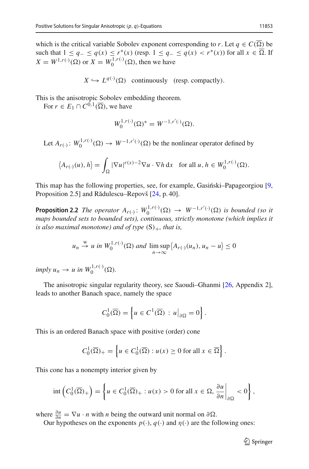which is the critical variable Sobolev exponent corresponding to *r*. Let  $q \in C(\Omega)$  be such that  $1 \le q_-\le q(x) \le r^*(x)$  (resp.  $1 \le q_-\le q(x) < r^*(x)$ ) for all *x* ∈ Ω. If  $X = W^{1,r(\cdot)}(\Omega)$  or  $X = W_0^{1,r(\cdot)}(\Omega)$ , then we have

 $X \hookrightarrow L^{q(\cdot)}(\Omega)$  continuously (resp. compactly).

This is the anisotropic Sobolev embedding theorem.

For  $r \in E_1 \cap C^{0,1}(\overline{\Omega})$ , we have

$$
W_0^{1,r(\cdot)}(\Omega)^* = W^{-1,r'(\cdot)}(\Omega).
$$

Let  $A_{r(\cdot)}: W_0^{1,r(\cdot)}(\Omega) \to W^{-1,r'(\cdot)}(\Omega)$  be the nonlinear operator defined by

$$
\left\langle A_{r(\cdot)}(u), h \right\rangle = \int_{\Omega} |\nabla u|^{r(x)-2} \nabla u \cdot \nabla h \, dx \quad \text{for all } u, h \in W_0^{1, r(\cdot)}(\Omega).
$$

<span id="page-4-0"></span>This map has the following properties, see, for example, Gasiński–Papageorgiou  $[9,$ Proposition 2.5] and Rădulescu–Repovš [\[24](#page-28-2), p. 40].

**Proposition 2.2** *The operator*  $A_{r(\cdot)}$ :  $W_0^{1,r(\cdot)}(\Omega) \to W^{-1,r'(\cdot)}(\Omega)$  *is bounded (so it maps bounded sets to bounded sets), continuous, strictly monotone (which implies it is also maximal monotone) and of type*  $(S)_+$ *, that is,* 

$$
u_n \stackrel{w}{\to} u \text{ in } W_0^{1,r(\cdot)}(\Omega) \text{ and } \limsup_{n \to \infty} \langle A_{r(\cdot)}(u_n), u_n - u \rangle \le 0
$$

 $imply u_n \rightarrow u \text{ in } W_0^{1,r(\cdot)}(\Omega).$ 

The anisotropic singular regularity theory, see Saoudi–Ghanmi [\[26,](#page-28-3) Appendix 2], leads to another Banach space, namely the space

$$
C_0^1(\overline{\Omega}) = \left\{ u \in C^1(\overline{\Omega}) : u \big|_{\partial \Omega} = 0 \right\}.
$$

This is an ordered Banach space with positive (order) cone

$$
C_0^1(\overline{\Omega})_+ = \left\{ u \in C_0^1(\overline{\Omega}) : u(x) \ge 0 \text{ for all } x \in \overline{\Omega} \right\}.
$$

This cone has a nonempty interior given by

$$
\mathrm{int}\left(C_0^1(\overline{\Omega})_+\right) = \left\{u \in C_0^1(\overline{\Omega})_+ : u(x) > 0 \text{ for all } x \in \Omega, \frac{\partial u}{\partial n}\bigg|_{\partial \Omega} < 0\right\},\
$$

where  $\frac{\partial u}{\partial n} = \nabla u \cdot n$  with *n* being the outward unit normal on  $\partial \Omega$ .

Our hypotheses on the exponents  $p(\cdot)$ ,  $q(\cdot)$  and  $\eta(\cdot)$  are the following ones: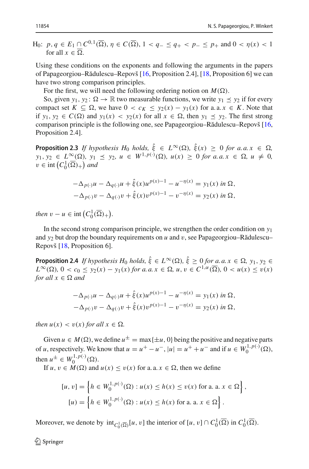$H_0: p, q \in E_1 \cap C^{0,1}(\overline{\Omega}), \eta \in C(\overline{\Omega}), 1 < q_- \leq q_+ < p_- \leq p_+ \text{ and } 0 < \eta(x) < 1$ for all  $x \in \Omega$ .

Using these conditions on the exponents and following the arguments in the papers of Papageorgiou–R˘adulescu–Repovš [\[16,](#page-27-8) Proposition 2.4], [\[18,](#page-27-9) Proposition 6] we can have two strong comparison principles.

For the first, we will need the following ordering notion on  $M(\Omega)$ .

So, given  $y_1, y_2: \Omega \to \mathbb{R}$  two measurable functions, we write  $y_1 \le y_2$  if for every compact set  $K \subseteq \Omega$ , we have  $0 < c_K \leq y_2(x) - y_1(x)$  for a. a.  $x \in K$ . Note that if *y*<sub>1</sub>, *y*<sub>2</sub>  $\in$  *C*( $\Omega$ ) and *y*<sub>1</sub>(*x*)  $\lt$  *y*<sub>2</sub>(*x*) for all *x*  $\in$   $\Omega$ , then *y*<sub>1</sub>  $\preceq$  *y*<sub>2</sub>. The first strong comparison principle is the following one, see Papageorgiou–Rădulescu–Repovš [\[16,](#page-27-8) Proposition 2.4].

<span id="page-5-0"></span>**Proposition 2.3** *If hypothesis H*<sub>0</sub> *holds*,  $\xi \in L^{\infty}(\Omega)$ ,  $\xi(x) \ge 0$  *for a.a.x*  $\in \Omega$ ,  $y_1, y_2 \in L^{\infty}(\Omega), y_1 \preceq y_2, u \in W^{1, p(\cdot)}(\Omega), u(x) \geq 0$  *for a.a.x*  $\in \Omega, u \neq 0$ ,  $v \in \text{int}\left(C_0^1(\overline{\Omega})_+\right)$  and

$$
-\Delta_{p(\cdot)}u - \Delta_{q(\cdot)}u + \hat{\xi}(x)u^{p(x)-1} - u^{-\eta(x)} = y_1(x) \text{ in } \Omega,
$$
  

$$
-\Delta_{p(\cdot)}v - \Delta_{q(\cdot)}v + \hat{\xi}(x)v^{p(x)-1} - v^{-\eta(x)} = y_2(x) \text{ in } \Omega,
$$

*then*  $v - u \in \text{int}\left(C_0^1(\overline{\Omega})_+\right)$ .

In the second strong comparison principle, we strengthen the order condition on *y*<sup>1</sup> and  $y_2$  but drop the boundary requirements on *u* and *v*, see Papageorgiou–Rădulescu– Repovš [\[18](#page-27-9), Proposition 6].

<span id="page-5-1"></span>**Proposition 2.4** *If hypothesis H*<sub>0</sub> *holds,*  $\xi \in L^{\infty}(\Omega)$ ,  $\xi \ge 0$  *for a. a. x*  $\in \Omega$ ,  $y_1, y_2 \in$  $L^{\infty}(\Omega)$ ,  $0 < c_0 \le y_2(x) - y_1(x)$  *for a. a.*  $x \in \Omega$ ,  $u, v \in C^{1,\alpha}(\overline{\Omega})$ ,  $0 < u(x) \le v(x)$  $for all x \in \Omega$  and

$$
-\Delta_{p(\cdot)}u - \Delta_{q(\cdot)}u + \hat{\xi}(x)u^{p(x)-1} - u^{-\eta(x)} = y_1(x) \text{ in } \Omega,
$$
  

$$
-\Delta_{p(\cdot)}v - \Delta_{q(\cdot)}v + \hat{\xi}(x)v^{p(x)-1} - v^{-\eta(x)} = y_2(x) \text{ in } \Omega,
$$

*then*  $u(x) < v(x)$  *for all*  $x \in \Omega$ *.* 

Given  $u \in M(\Omega)$ , we define  $u^{\pm} = \max\{\pm u, 0\}$  being the positive and negative parts of *u*, respectively. We know that  $u = u^+ - u^-$ ,  $|u| = u^+ + u^-$  and if  $u \in W_0^{1, p(\cdot)}(\Omega)$ , then  $u^{\pm} \in W_0^{1,p(\cdot)}(\Omega)$ .

If  $u, v \in M(\Omega)$  and  $u(x) \le v(x)$  for a. a.  $x \in \Omega$ , then we define

$$
[u, v] = \left\{ h \in W_0^{1, p(\cdot)}(\Omega) : u(x) \le h(x) \le v(x) \text{ for a. a. } x \in \Omega \right\},\
$$

$$
[u] = \left\{ h \in W_0^{1, p(\cdot)}(\Omega) : u(x) \le h(x) \text{ for a. a. } x \in \Omega \right\}.
$$

Moreover, we denote by  $int_{C_0^1(\overline{\Omega})} [u, v]$  the interior of  $[u, v] \cap C_0^1(\overline{\Omega})$  in  $C_0^1(\overline{\Omega})$ .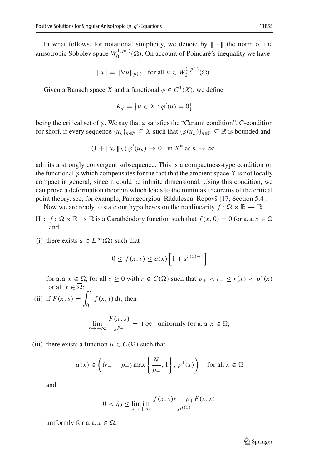In what follows, for notational simplicity, we denote by  $\|\cdot\|$  the norm of the anisotropic Sobolev space  $W_0^{1,p(\cdot)}(\Omega)$ . On account of Poincaré's inequality we have

$$
||u|| = ||\nabla u||_{p(\cdot)} \text{ for all } u \in W_0^{1, p(\cdot)}(\Omega).
$$

Given a Banach space *X* and a functional  $\varphi \in C^1(X)$ , we define

$$
K_{\varphi} = \left\{ u \in X : \varphi'(u) = 0 \right\}
$$

being the critical set of  $\varphi$ . We say that  $\varphi$  satisfies the "Cerami condition", C-condition for short, if every sequence  $\{u_n\}_{n\in\mathbb{N}} \subseteq X$  such that  $\{\varphi(u_n)\}_{n\in\mathbb{N}} \subseteq \mathbb{R}$  is bounded and

$$
(1 + \|u_n\|_X) \varphi'(u_n) \to 0 \quad \text{in } X^* \text{ as } n \to \infty,
$$

admits a strongly convergent subsequence. This is a compactness-type condition on the functional  $\varphi$  which compensates for the fact that the ambient space *X* is not locally compact in general, since it could be infinite dimensional. Using this condition, we can prove a deformation theorem which leads to the minimax theorems of the critical point theory, see, for example, Papageorgiou–Rădulescu–Repovš [\[17](#page-27-10), Section 5.4].

Now we are ready to state our hypotheses on the nonlinearity  $f: \Omega \times \mathbb{R} \to \mathbb{R}$ .

- $H_1$ :  $f: \Omega \times \mathbb{R} \to \mathbb{R}$  is a Carathéodory function such that  $f(x, 0) = 0$  for a. a.  $x \in \Omega$ and
- (i) there exists  $a \in L^{\infty}(\Omega)$  such that

$$
0 \le f(x, s) \le a(x) \left[ 1 + s^{r(x)-1} \right]
$$

for a. a.  $x \in \Omega$ , for all  $s \ge 0$  with  $r \in C(\Omega)$  such that  $p_+ < r_- \le r(x) < p^*(x)$ for all  $x \in \Omega$ ;

(ii) if  $F(x, s) = \int_{0}^{s}$  $\boldsymbol{0}$  $f(x, t)$  d*t*, then

$$
\lim_{s \to +\infty} \frac{F(x, s)}{s^{p_+}} = +\infty \text{ uniformly for a. a. } x \in \Omega;
$$

(iii) there exists a function  $\mu \in C(\Omega)$  such that

$$
\mu(x) \in \left( (r_+ - p_-) \max\left\{ \frac{N}{p_-}, 1 \right\}, p^*(x) \right) \quad \text{for all } x \in \overline{\Omega}
$$

and

$$
0 < \hat{\eta}_0 \le \liminf_{s \to +\infty} \frac{f(x, s)s - p_+ F(x, s)}{s^{\mu(x)}}
$$

uniformly for a. a.  $x \in \Omega$ ;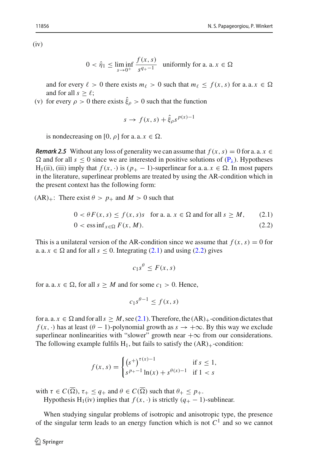$(iv)$ 

$$
0 < \hat{\eta}_1 \le \liminf_{s \to 0^+} \frac{f(x, s)}{s^{q_+ - 1}} \quad \text{uniformly for a. a. } x \in \Omega
$$

and for every  $\ell > 0$  there exists  $m_{\ell} > 0$  such that  $m_{\ell} \leq f(x, s)$  for a. a.  $x \in \Omega$ and for all  $s > \ell$ ;

(v) for every 
$$
\rho > 0
$$
 there exists  $\hat{\xi}_{\rho} > 0$  such that the function

$$
s \to f(x, s) + \hat{\xi}_{\rho} s^{p(x)-1}
$$

is nondecreasing on [0,  $\rho$ ] for a. a.  $x \in \Omega$ .

*Remark 2.5* Without any loss of generality we can assume that  $f(x, s) = 0$  for a. a.  $x \in$  $\Omega$  and for all  $s \le 0$  since we are interested in positive solutions of  $(P_{\lambda})$  $(P_{\lambda})$ . Hypotheses H<sub>1</sub>(ii), (iii) imply that  $f(x, \cdot)$  is  $(p_{+} - 1)$ -superlinear for a. a.  $x \in \Omega$ . In most papers in the literature, superlinear problems are treated by using the AR-condition which in the present context has the following form:

 $(AR)_+$ : There exist  $\theta > p_+$  and  $M > 0$  such that

$$
0 < \theta \cdot F(x, s) \le f(x, s) \quad \text{for a. a. } x \in \Omega \text{ and for all } s \ge M, \tag{2.1}
$$

$$
0 < \operatorname{ess\,inf}_{x \in \Omega} F(x, M). \tag{2.2}
$$

This is a unilateral version of the AR-condition since we assume that  $f(x, s) = 0$  for a. a.  $x \in \Omega$  and for all  $s \le 0$ . Integrating [\(2.1\)](#page-7-0) and using [\(2.2\)](#page-7-1) gives

<span id="page-7-1"></span><span id="page-7-0"></span>
$$
c_1s^{\theta} \leq F(x,s)
$$

for a. a.  $x \in \Omega$ , for all  $s \geq M$  and for some  $c_1 > 0$ . Hence,

$$
c_1 s^{\theta - 1} \le f(x, s)
$$

for a. a.  $x \in \Omega$  and for all  $s \geq M$ , see [\(2.1\)](#page-7-0). Therefore, the  $(AR)_+$ -condition dictates that  $f(x, \cdot)$  has at least ( $\theta - 1$ )-polynomial growth as  $s \to +\infty$ . By this way we exclude superlinear nonlinearities with "slower" growth near  $+\infty$  from our considerations. The following example fulfils  $H_1$ , but fails to satisfy the  $(AR)_{+}$ -condition:

$$
f(x, s) = \begin{cases} (s^+)^{\tau(x)-1} & \text{if } s \le 1, \\ s^{p+1} \ln(x) + s^{\theta(x)-1} & \text{if } 1 < s \end{cases}
$$

with  $\tau \in C(\Omega)$ ,  $\tau_+ \leq q_+$  and  $\theta \in C(\Omega)$  such that  $\theta_+ \leq p_+$ .

Hypothesis H<sub>1</sub>(iv) implies that  $f(x, \cdot)$  is strictly  $(q_{+} - 1)$ -sublinear.

When studying singular problems of isotropic and anisotropic type, the presence of the singular term leads to an energy function which is not  $C<sup>1</sup>$  and so we cannot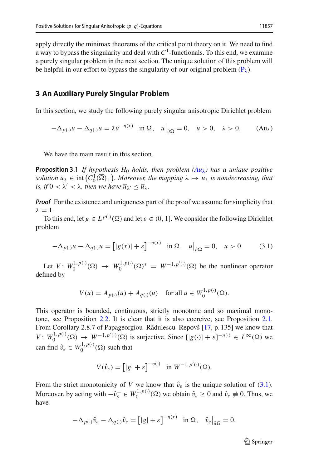apply directly the minimax theorems of the critical point theory on it. We need to find a way to bypass the singularity and deal with  $C<sup>1</sup>$ -functionals. To this end, we examine a purely singular problem in the next section. The unique solution of this problem will be helpful in our effort to bypass the singularity of our original problem  $(P_{\lambda})$  $(P_{\lambda})$ .

#### **3 An Auxiliary Purely Singular Problem**

In this section, we study the following purely singular anisotropic Dirichlet problem

<span id="page-8-0"></span>
$$
-\Delta_{p(\cdot)}u - \Delta_{q(\cdot)}u = \lambda u^{-\eta(x)} \quad \text{in } \Omega, \quad u\big|_{\partial\Omega} = 0, \quad u > 0, \quad \lambda > 0. \tag{Au1}
$$

<span id="page-8-2"></span>We have the main result in this section.

**Proposition 3.1** *If hypothesis*  $H_0$  *holds, then problem*  $(Au_\lambda)$  $(Au_\lambda)$  *has a unique positive solution*  $\overline{u}_\lambda \in \text{int}(C_0^1(\overline{\Omega})_+)$ . Moreover, the mapping  $\lambda \mapsto \overline{u}_\lambda$  is nondecreasing, that *is, if*  $0 < \lambda' < \lambda$ *, then we have*  $\overline{u}_{\lambda'} \leq \overline{u}_{\lambda}$ *.* 

*Proof* For the existence and uniqueness part of the proof we assume for simplicity that  $\lambda = 1$ .

To this end, let  $g \in L^{p(\cdot)}(\Omega)$  and let  $\varepsilon \in (0, 1]$ . We consider the following Dirichlet problem

$$
-\Delta_{p(\cdot)}u - \Delta_{q(\cdot)}u = \left[|g(x)| + \varepsilon\right]^{-\eta(x)} \quad \text{in } \Omega, \quad u\big|_{\partial\Omega} = 0, \quad u > 0. \tag{3.1}
$$

Let  $V: W_0^{1,p(\cdot)}(\Omega) \to W_0^{1,p(\cdot)}(\Omega)^* = W^{-1,p'(\cdot)}(\Omega)$  be the nonlinear operator defined by

<span id="page-8-1"></span>
$$
V(u) = A_{p(\cdot)}(u) + A_{q(\cdot)}(u) \quad \text{for all } u \in W_0^{1, p(\cdot)}(\Omega).
$$

This operator is bounded, continuous, strictly monotone and so maximal monotone, see Proposition [2.2.](#page-4-0) It is clear that it is also coercive, see Proposition [2.1.](#page-2-0) From Corollary 2.8.7 of Papageorgiou–Rădulescu–Repovš [\[17](#page-27-10), p. 135] we know that *V*:  $W_0^{1,p(\cdot)}(\Omega) \to W^{-1,p'(\cdot)}(\Omega)$  is surjective. Since  $[|g(\cdot)| + \varepsilon]^{-\eta(\cdot)} \in L^{\infty}(\Omega)$  we can find  $\hat{v}_{\varepsilon} \in W_0^{1, p(\cdot)}(\Omega)$  such that

$$
V(\hat{v}_{\varepsilon}) = [|g| + \varepsilon]^{-\eta(\cdot)} \quad \text{in } W^{-1,p'(\cdot)}(\Omega).
$$

From the strict monotonicity of *V* we know that  $\hat{v}_{\varepsilon}$  is the unique solution of [\(3.1\)](#page-8-1). Moreover, by acting with  $-\hat{v}_{\varepsilon}^- \in W_0^{1,p(\cdot)}(\Omega)$  we obtain  $\hat{v}_{\varepsilon} \ge 0$  and  $\hat{v}_{\varepsilon} \ne 0$ . Thus, we have

$$
-\Delta_{p(\cdot)}\hat{v}_{\varepsilon} - \Delta_{q(\cdot)}\hat{v}_{\varepsilon} = [|g| + \varepsilon]^{-\eta(x)} \quad \text{in } \Omega, \quad \hat{v}_{\varepsilon}|_{\partial\Omega} = 0.
$$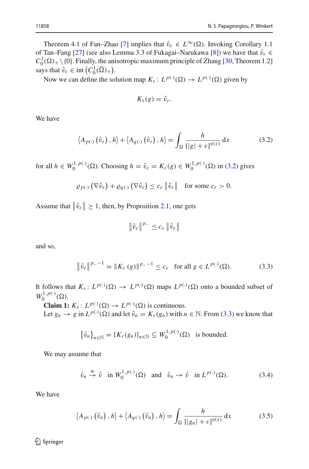Theorem 4.1 of Fan–Zhao [\[7\]](#page-27-11) implies that  $\hat{v}_{\varepsilon} \in L^{\infty}(\Omega)$ . Invoking Corollary 1.1 of Tan–Fang [\[27\]](#page-28-10) (see also Lemma 3.3 of Fukagai–Narukawa [\[8\]](#page-27-12)) we have that  $\hat{v}_{\varepsilon} \in$  $C_0^1(\Omega)$  + \ {0}. Finally, the anisotropic maximum principle of Zhang [\[30](#page-28-11), Theorem 1.2] says that  $\hat{v}_{\varepsilon} \in \text{int}\left( C_0^1(\overline{\Omega})_+\right)$ .

Now we can define the solution map  $K_{\varepsilon}: L^{p(\cdot)}(\Omega) \to L^{p(\cdot)}(\Omega)$  given by

<span id="page-9-0"></span>
$$
K_{\varepsilon}(g)=\hat{v}_{\varepsilon}.
$$

We have

$$
\langle A_{p(\cdot)}\left(\hat{v}_{\varepsilon}\right), h \rangle + \langle A_{q(\cdot)}\left(\hat{v}_{\varepsilon}\right), h \rangle = \int_{\Omega} \frac{h}{[|g| + \varepsilon]^{n(x)}} dx \tag{3.2}
$$

for all  $h \in W_0^{1, p(\cdot)}(\Omega)$ . Choosing  $h = \hat{v}_{\varepsilon} = K_{\varepsilon}(g) \in W_0^{1, p(\cdot)}(\Omega)$  in [\(3.2\)](#page-9-0) gives

$$
\varrho_{p(\cdot)}\left(\nabla\hat{v}_{\varepsilon}\right) + \varrho_{q(\cdot)}\left(\nabla\hat{v}_{\varepsilon}\right) \leq c_{\varepsilon} \left\|\hat{v}_{\varepsilon}\right\| \quad \text{for some } c_{\varepsilon} > 0.
$$

Assume that  $\|\hat{v}_{\varepsilon}\| \geq 1$ , then, by Proposition [2.1,](#page-2-0) one gets

<span id="page-9-1"></span>
$$
\|\hat{v}_{\varepsilon}\|^{p_-}\leq c_{\varepsilon}\|\hat{v}_{\varepsilon}\|
$$

and so,

$$
\|\hat{v}_{\varepsilon}\|^{p_{-}-1} = \|K_{\varepsilon}(g)\|^{p_{-}-1} \le c_{\varepsilon} \quad \text{for all } g \in L^{p(\cdot)}(\Omega). \tag{3.3}
$$

It follows that  $K_{\varepsilon}: L^{p(\cdot)}(\Omega) \to L^{p(\cdot)}(\Omega)$  maps  $L^{p(\cdot)}(\Omega)$  onto a bounded subset of  $W_0^{1,p(\cdot)}(\Omega)$ .

**Claim 1:**  $K_{\varepsilon}: L^{p(\cdot)}(\Omega) \to L^{p(\cdot)}(\Omega)$  is continuous.

Let  $g_n \to g$  in  $L^{p(\cdot)}(\Omega)$  and let  $\hat{v}_n = K_{\varepsilon}(g_n)$  with  $n \in \mathbb{N}$ . From [\(3.3\)](#page-9-1) we know that

$$
\{\hat{v}_n\}_{n\in\mathbb{N}} = \{K_{\varepsilon}(g_n)\}_{n\in\mathbb{N}} \subseteq W_0^{1,p(\cdot)}(\Omega) \text{ is bounded.}
$$

We may assume that

<span id="page-9-3"></span><span id="page-9-2"></span>
$$
\hat{v}_n \stackrel{\text{w}}{\rightarrow} \hat{v} \quad \text{in } W_0^{1, p(\cdot)}(\Omega) \quad \text{and} \quad \hat{v}_n \rightarrow \hat{v} \quad \text{in } L^{p(\cdot)}(\Omega). \tag{3.4}
$$

We have

$$
\langle A_{p(\cdot)}(\hat{v}_n), h \rangle + \langle A_{q(\cdot)}(\hat{v}_n), h \rangle = \int_{\Omega} \frac{h}{[|g_n| + \varepsilon]^{n(x)}} dx \tag{3.5}
$$

<sup>2</sup> Springer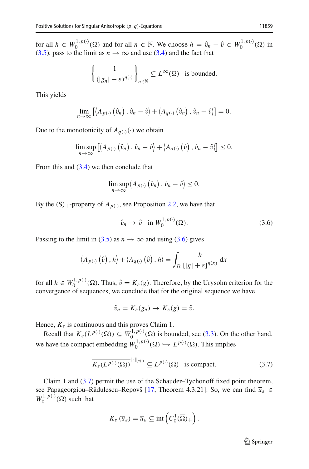for all  $h \in W_0^{1,p(\cdot)}(\Omega)$  and for all  $n \in \mathbb{N}$ . We choose  $h = \hat{v}_n - \hat{v} \in W_0^{1,p(\cdot)}(\Omega)$  in [\(3.5\)](#page-9-2), pass to the limit as  $n \to \infty$  and use [\(3.4\)](#page-9-3) and the fact that

$$
\left\{\frac{1}{(|g_n|+\varepsilon)^{\eta(\cdot)}}\right\}_{n\in\mathbb{N}}\subseteq L^{\infty}(\Omega) \text{ is bounded.}
$$

This yields

$$
\lim_{n\to\infty}\left[\left\langle A_{p(\cdot)}\left(\hat{v}_n\right),\hat{v}_n-\hat{v}\right\rangle+\left\langle A_{q(\cdot)}\left(\hat{v}_n\right),\hat{v}_n-\hat{v}\right\rangle\right]=0.
$$

Due to the monotonicity of  $A_{q(\cdot)}(\cdot)$  we obtain

$$
\limsup_{n\to\infty}\left[\left\langle A_{p(\cdot)}\left(\hat{v}_n\right),\hat{v}_n-\hat{v}\right\rangle+\left\langle A_{q(\cdot)}\left(\hat{v}\right),\hat{v}_n-\hat{v}\right\rangle\right]\leq 0.
$$

From this and  $(3.4)$  we then conclude that

$$
\limsup_{n\to\infty}\left\langle A_{p(\cdot)}\left(\hat{v}_n\right),\,\hat{v}_n-\hat{v}\right\rangle\leq 0.
$$

By the  $(S)$ <sub>+</sub>-property of  $A_{p(\cdot)}$ , see Proposition [2.2,](#page-4-0) we have that

<span id="page-10-0"></span>
$$
\hat{v}_n \to \hat{v} \quad \text{in } W_0^{1, p(\cdot)}(\Omega). \tag{3.6}
$$

Passing to the limit in [\(3.5\)](#page-9-2) as  $n \to \infty$  and using [\(3.6\)](#page-10-0) gives

$$
\langle A_{p(\cdot)}(\hat{v}), h \rangle + \langle A_{q(\cdot)}(\hat{v}), h \rangle = \int_{\Omega} \frac{h}{[|g| + \varepsilon]^{\eta(x)}} dx
$$

for all  $h \in W_0^{1,p(\cdot)}(\Omega)$ . Thus,  $\hat{v} = K_{\varepsilon}(g)$ . Therefore, by the Urysohn criterion for the convergence of sequences, we conclude that for the original sequence we have

<span id="page-10-1"></span>
$$
\hat{v}_n = K_{\varepsilon}(g_n) \to K_{\varepsilon}(g) = \hat{v}.
$$

Hence,  $K_{\varepsilon}$  is continuous and this proves Claim 1.

Recall that  $K_{\varepsilon}(L^{p(\cdot)}(\Omega)) \subseteq W_0^{1,p(\cdot)}(\Omega)$  is bounded, see [\(3.3\)](#page-9-1). On the other hand, we have the compact embedding  $W_0^{1,p(\cdot)}(\Omega) \hookrightarrow L^{p(\cdot)}(\Omega)$ . This implies

$$
\overline{K_{\varepsilon}(L^{p(\cdot)}(\Omega))}^{\|\cdot\|_{p(\cdot)}} \subseteq L^{p(\cdot)}(\Omega) \quad \text{is compact.}
$$
 (3.7)

Claim 1 and [\(3.7\)](#page-10-1) permit the use of the Schauder–Tychonoff fixed point theorem, see Papageorgiou–Rădulescu–Repovš [\[17,](#page-27-10) Theorem 4.3.21]. So, we can find  $\overline{u}_{\varepsilon} \in$  $W_0^{1,p(\cdot)}(\Omega)$  such that

$$
K_{\varepsilon}(\overline{u}_{\varepsilon})=\overline{u}_{\varepsilon}\subseteq\text{int}\left(C_0^1(\overline{\Omega})_+\right).
$$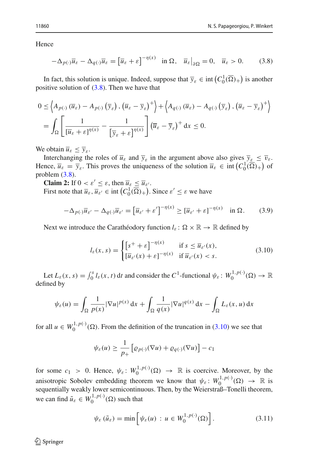Hence

<span id="page-11-0"></span>
$$
-\Delta_{p(\cdot)}\overline{u}_{\varepsilon} - \Delta_{q(\cdot)}\overline{u}_{\varepsilon} = \left[\overline{u}_{\varepsilon} + \varepsilon\right]^{-\eta(x)} \quad \text{in } \Omega, \quad \overline{u}_{\varepsilon}\big|_{\partial\Omega} = 0, \quad \overline{u}_{\varepsilon} > 0. \tag{3.8}
$$

In fact, this solution is unique. Indeed, suppose that  $\overline{y}_{\varepsilon} \in \text{int}\left(C_0^1(\overline{\Omega})_+\right)$  is another positive solution of  $(3.8)$ . Then we have that

$$
0 \leq \left\langle A_{p(\cdot)}\left(\overline{u}_{\varepsilon}\right) - A_{p(\cdot)}\left(\overline{y}_{\varepsilon}\right), \left(\overline{u}_{\varepsilon} - \overline{y}_{\varepsilon}\right)^{+}\right\rangle + \left\langle A_{q(\cdot)}\left(\overline{u}_{\varepsilon}\right) - A_{q(\cdot)}\left(\overline{y}_{\varepsilon}\right), \left(\overline{u}_{\varepsilon} - \overline{y}_{\varepsilon}\right)^{+}\right\rangle
$$
  
= 
$$
\int_{\Omega} \left[ \frac{1}{\left[\overline{u}_{\varepsilon} + \varepsilon\right]^{\eta(x)}} - \frac{1}{\left[\overline{y}_{\varepsilon} + \varepsilon\right]^{\eta(x)}} \right] \left(\overline{u}_{\varepsilon} - \overline{y}_{\varepsilon}\right)^{+} dx \leq 0.
$$

We obtain  $\overline{u}_{\varepsilon} \leq \overline{v}_{\varepsilon}$ .

Interchanging the roles of  $\overline{u}_{\varepsilon}$  and  $\overline{y}_{\varepsilon}$  in the argument above also gives  $\overline{y}_{\varepsilon} \leq \overline{v}_{\varepsilon}$ . Hence,  $\overline{u}_{\varepsilon} = \overline{y}_{\varepsilon}$ . This proves the uniqueness of the solution  $\overline{u}_{\varepsilon} \in \text{int}\left(C_0^1(\overline{\Omega})_+\right)$  of problem [\(3.8\)](#page-11-0).

**Claim 2:** If  $0 < \varepsilon' \leq \varepsilon$ , then  $\overline{u}_{\varepsilon} \leq \overline{u}_{\varepsilon'}$ . First note that  $\overline{u}_{\varepsilon}$ ,  $\overline{u}_{\varepsilon}$   $\in$  int  $(C_0^1(\overline{\Omega})_+)$ . Since  $\varepsilon' \leq \varepsilon$  we have

$$
-\Delta_{p(\cdot)}\overline{u}_{\varepsilon'} - \Delta_{q(\cdot)}\overline{u}_{\varepsilon'} = \left[\overline{u}_{\varepsilon'} + \varepsilon'\right]^{-\eta(x)} \ge \left[\overline{u}_{\varepsilon'} + \varepsilon\right]^{-\eta(x)} \quad \text{in } \Omega. \tag{3.9}
$$

Next we introduce the Carathéodory function  $l_{\varepsilon} : \Omega \times \mathbb{R} \to \mathbb{R}$  defined by

<span id="page-11-3"></span><span id="page-11-1"></span>
$$
l_{\varepsilon}(x,s) = \begin{cases} \left[s^{+} + \varepsilon\right]^{-\eta(x)} & \text{if } s \le \overline{u}_{\varepsilon}(x),\\ \left[\overline{u}_{\varepsilon}(x) + \varepsilon\right]^{-\eta(x)} & \text{if } \overline{u}_{\varepsilon}(x) < s. \end{cases} \tag{3.10}
$$

Let  $L_{\varepsilon}(x, s) = \int_0^s l_{\varepsilon}(x, t) dt$  and consider the  $C^1$ -functional  $\psi_{\varepsilon}: W_0^{1, p(\cdot)}(\Omega) \to \mathbb{R}$ defined by

$$
\psi_{\varepsilon}(u) = \int_{\Omega} \frac{1}{p(x)} |\nabla u|^{p(x)} dx + \int_{\Omega} \frac{1}{q(x)} |\nabla u|^{q(x)} dx - \int_{\Omega} L_{\varepsilon}(x, u) dx
$$

for all  $u \in W_0^{1,p(\cdot)}(\Omega)$ . From the definition of the truncation in [\(3.10\)](#page-11-1) we see that

$$
\psi_{\varepsilon}(u) \ge \frac{1}{p_+} \left[ \varrho_{p(\cdot)}(\nabla u) + \varrho_{q(\cdot)}(\nabla u) \right] - c_1
$$

for some  $c_1 > 0$ . Hence,  $\psi_{\varepsilon} : W_0^{1,p(\cdot)}(\Omega) \to \mathbb{R}$  is coercive. Moreover, by the anisotropic Sobolev embedding theorem we know that  $\psi_{\varepsilon} \colon W_0^{1,p(\cdot)}(\Omega) \to \mathbb{R}$  is sequentially weakly lower semicontinuous. Then, by the Weierstraß–Tonelli theorem, we can find  $\tilde{u}_{\varepsilon} \in W_0^{1,p(\cdot)}(\Omega)$  such that

<span id="page-11-2"></span>
$$
\psi_{\varepsilon}(\tilde{u}_{\varepsilon}) = \min \left[ \psi_{\varepsilon}(u) : u \in W_0^{1, p(\cdot)}(\Omega) \right]. \tag{3.11}
$$

 $\textcircled{2}$  Springer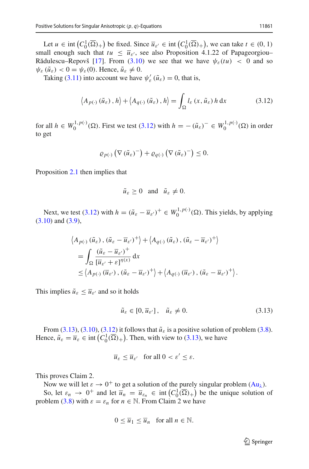Let  $u \in \text{int}\left(C_0^1(\overline{\Omega})_+\right)$  be fixed. Since  $\overline{u}_{\varepsilon'} \in \text{int}\left(C_0^1(\overline{\Omega})_+\right)$ , we can take  $t \in (0, 1)$ small enough such that  $tu \leq \overline{u}_{\varepsilon}$ , see also Proposition 4.1.22 of Papageorgiou– Rădulescu–Repovš [\[17\]](#page-27-10). From [\(3.10\)](#page-11-1) we see that we have  $\psi_{\varepsilon}(tu) < 0$  and so  $\psi_{\varepsilon}(\tilde{u}_{\varepsilon}) < 0 = \psi_{\varepsilon}(0)$ . Hence,  $\tilde{u}_{\varepsilon} \neq 0$ .

Taking [\(3.11\)](#page-11-2) into account we have  $\psi_{\varepsilon}'(\tilde{u}_{\varepsilon}) = 0$ , that is,

$$
\langle A_{p(\cdot)}\left(\tilde{u}_{\varepsilon}\right), h \rangle + \langle A_{q(\cdot)}\left(\tilde{u}_{\varepsilon}\right), h \rangle = \int_{\Omega} l_{\varepsilon}\left(x, \tilde{u}_{\varepsilon}\right) h \, \mathrm{d}x \tag{3.12}
$$

for all  $h \in W_0^{1,p(\cdot)}(\Omega)$ . First we test [\(3.12\)](#page-12-0) with  $h = -(\tilde{u}_{\varepsilon})^-\in W_0^{1,p(\cdot)}(\Omega)$  in order to get

<span id="page-12-0"></span>
$$
\varrho_{p(\cdot)}\left(\nabla\left(\tilde{u}_{\varepsilon}\right)^{-}\right)+\varrho_{q(\cdot)}\left(\nabla\left(\tilde{u}_{\varepsilon}\right)^{-}\right)\leq 0.
$$

Proposition [2.1](#page-2-0) then implies that

$$
\tilde{u}_{\varepsilon} \ge 0
$$
 and  $\tilde{u}_{\varepsilon} \ne 0$ .

Next, we test [\(3.12\)](#page-12-0) with  $h = (\tilde{u}_{\varepsilon} - \overline{u}_{\varepsilon'})^+ \in W_0^{1, p(\cdot)}(\Omega)$ . This yields, by applying [\(3.10\)](#page-11-1) and [\(3.9\)](#page-11-3),

$$
\langle A_{p(\cdot)} (\tilde{u}_{\varepsilon}), (\tilde{u}_{\varepsilon} - \overline{u}_{\varepsilon'})^+ \rangle + \langle A_{q(\cdot)} (\tilde{u}_{\varepsilon}), (\tilde{u}_{\varepsilon} - \overline{u}_{\varepsilon'})^+ \rangle
$$
  
= 
$$
\int_{\Omega} \frac{(\tilde{u}_{\varepsilon} - \overline{u}_{\varepsilon'})^+}{[\overline{u}_{\varepsilon'} + \varepsilon]^{\eta(x)}} dx
$$
  
\$\leq \langle A\_{p(\cdot)} (\overline{u}\_{\varepsilon'}), (\tilde{u}\_{\varepsilon} - \overline{u}\_{\varepsilon'})^+ \rangle + \langle A\_{q(\cdot)} (\overline{u}\_{\varepsilon'}), (\tilde{u}\_{\varepsilon} - \overline{u}\_{\varepsilon'})^+ \rangle\$

This implies  $\tilde{u}_{\varepsilon} \leq \overline{u}_{\varepsilon}$  and so it holds

$$
\tilde{u}_{\varepsilon} \in [0, \overline{u}_{\varepsilon'}], \quad \tilde{u}_{\varepsilon} \neq 0. \tag{3.13}
$$

<span id="page-12-1"></span>.

From [\(3.13\)](#page-12-1), [\(3.10\)](#page-11-1), [\(3.12\)](#page-12-0) it follows that  $\tilde{u}_{\varepsilon}$  is a positive solution of problem [\(3.8\)](#page-11-0). Hence,  $\tilde{u}_{\varepsilon} = \overline{u}_{\varepsilon} \in \text{int}\left(C_0^1(\overline{\Omega})_+\right)$ . Then, with view to [\(3.13\)](#page-12-1), we have

$$
\overline{u}_{\varepsilon} \le \overline{u}_{\varepsilon'} \quad \text{for all } 0 < \varepsilon' \le \varepsilon.
$$

This proves Claim 2.

Now we will let  $\varepsilon \to 0^+$  to get a solution of the purely singular problem  $(Au_\lambda)$  $(Au_\lambda)$ .

So, let  $\varepsilon_n \to 0^+$  and let  $\overline{u}_n = \overline{u}_{\varepsilon_n} \in \text{int}\left(C_0^1(\overline{\Omega})_+\right)$  be the unique solution of problem [\(3.8\)](#page-11-0) with  $\varepsilon = \varepsilon_n$  for  $n \in \mathbb{N}$ . From Claim 2 we have

$$
0 \le \overline{u}_1 \le \overline{u}_n \quad \text{for all } n \in \mathbb{N}.
$$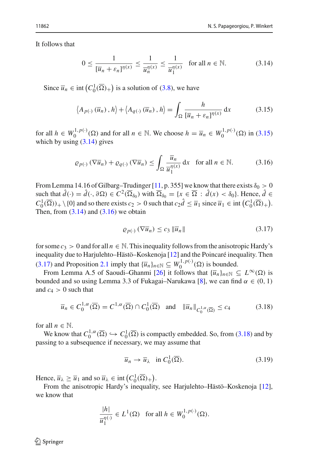It follows that

<span id="page-13-1"></span><span id="page-13-0"></span>
$$
0 \le \frac{1}{\left[\overline{u}_n + \varepsilon_n\right]^{\eta(x)}} \le \frac{1}{\overline{u}_n^{\eta(x)}} \le \frac{1}{\overline{u}_1^{\eta(x)}} \quad \text{for all } n \in \mathbb{N}.\tag{3.14}
$$

Since  $\overline{u}_n \in \text{int}\left(C_0^1(\overline{\Omega})_+\right)$  is a solution of [\(3.8\)](#page-11-0), we have

$$
\langle A_{p(\cdot)}\left(\overline{u}_n\right), h\rangle + \langle A_{q(\cdot)}\left(\overline{u}_n\right), h\rangle = \int_{\Omega} \frac{h}{\left[\overline{u}_n + \varepsilon_n\right]^{n(x)}} dx \tag{3.15}
$$

for all  $h \in W_0^{1,p(\cdot)}(\Omega)$  and for all  $n \in \mathbb{N}$ . We choose  $h = \overline{u}_n \in W_0^{1,p(\cdot)}(\Omega)$  in [\(3.15\)](#page-13-0) which by using  $(3.14)$  gives

$$
\varrho_{p(\cdot)}\left(\nabla \overline{u}_n\right) + \varrho_{q(\cdot)}\left(\nabla \overline{u}_n\right) \le \int_{\Omega} \frac{\overline{u}_n}{\overline{u}_1^{\eta(x)}} \, \mathrm{d}x \quad \text{for all } n \in \mathbb{N}.\tag{3.16}
$$

From Lemma 14.16 of Gilbarg–Trudinger [\[11](#page-27-13), p. 355] we know that there exists  $\delta_0 > 0$ such that  $\hat{d}(\cdot) = \hat{d}(\cdot, \partial \Omega) \in C^2(\overline{\Omega}_{\delta_0})$  with  $\overline{\Omega}_{\delta_0} = \{x \in \overline{\Omega} : \hat{d}(x) < \delta_0\}$ . Hence,  $\hat{d} \in$  $C_0^1(\overline{\Omega})_+ \setminus \{0\}$  and so there exists  $c_2 > 0$  such that  $c_2 \hat{d} \leq \overline{u}_1$  since  $\overline{u}_1 \in \text{int}\left(C_0^1(\overline{\Omega})_+\right)$ . Then, from  $(3.14)$  and  $(3.16)$  we obtain

<span id="page-13-3"></span><span id="page-13-2"></span>
$$
\varrho_{p(\cdot)}\left(\nabla\overline{u}_{n}\right)\leq c_{3}\left\|\overline{u}_{n}\right\|\tag{3.17}
$$

for some  $c_3 > 0$  and for all  $n \in \mathbb{N}$ . This inequality follows from the anisotropic Hardy's inequality due to Harjulehto–Hästö–Koskenoja [\[12\]](#page-27-14) and the Poincaré inequality. Then [\(3.17\)](#page-13-3) and Proposition [2.1](#page-2-0) imply that  $\{\overline{u}_n\}_{n \in \mathbb{N}} \subseteq W_0^{1,p(\cdot)}(\Omega)$  is bounded.

From Lemma A.5 of Saoudi–Ghanmi [\[26](#page-28-3)] it follows that  $\{\overline{u}_n\}_{n \in \mathbb{N}} \subseteq L^{\infty}(\Omega)$  is bounded and so using Lemma 3.3 of Fukagai–Narukawa [\[8](#page-27-12)], we can find  $\alpha \in (0, 1)$ and  $c_4 > 0$  such that

$$
\overline{u}_n \in C_0^{1,\alpha}(\overline{\Omega}) = C^{1,\alpha}(\overline{\Omega}) \cap C_0^1(\overline{\Omega}) \quad \text{and} \quad \|\overline{u}_n\|_{C_0^{1,\alpha}(\overline{\Omega})} \le c_4 \tag{3.18}
$$

for all  $n \in \mathbb{N}$ .

We know that  $C_0^{1,\alpha}(\overline{\Omega}) \hookrightarrow C_0^1(\overline{\Omega})$  is compactly embedded. So, from [\(3.18\)](#page-13-4) and by passing to a subsequence if necessary, we may assume that

<span id="page-13-5"></span><span id="page-13-4"></span>
$$
\overline{u}_n \to \overline{u}_\lambda \quad \text{in } C_0^1(\overline{\Omega}).\tag{3.19}
$$

Hence,  $\overline{u}_{\lambda} \ge \overline{u}_1$  and so  $\overline{u}_{\lambda} \in \text{int} \left( C_0^1(\overline{\Omega})_+ \right)$ .

From the anisotropic Hardy's inequality, see Harjulehto–Hästö–Koskenoja [\[12](#page-27-14)], we know that

$$
\frac{|h|}{\overline{u}_1^{n(\cdot)}}\in L^1(\Omega)\quad\text{for all }h\in W_0^{1,p(\cdot)}(\Omega).
$$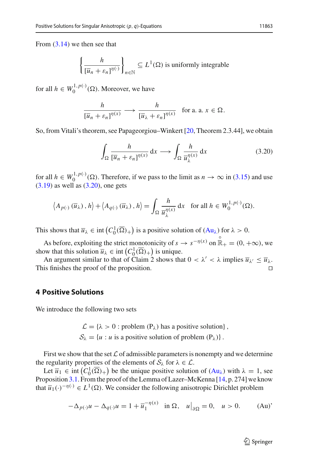From  $(3.14)$  we then see that

$$
\left\{\frac{h}{[\overline{u}_n + \varepsilon_n]^{\eta(\cdot)}}\right\}_{n \in \mathbb{N}} \subseteq L^1(\Omega) \text{ is uniformly integrable}
$$

for all  $h \in W_0^{1, p(\cdot)}(\Omega)$ . Moreover, we have

$$
\frac{h}{[\overline{u}_n + \varepsilon_n]^{\eta(x)}} \longrightarrow \frac{h}{[\overline{u}_\lambda + \varepsilon_n]^{\eta(x)}} \text{ for a. a. } x \in \Omega.
$$

So, from Vitali's theorem, see Papageorgiou–Winkert [\[20](#page-28-12), Theorem 2.3.44], we obtain

<span id="page-14-0"></span>
$$
\int_{\Omega} \frac{h}{[\overline{u}_n + \varepsilon_n]^{\eta(x)}} dx \longrightarrow \int_{\Omega} \frac{h}{\overline{u}_{\lambda}^{\eta(x)}} dx
$$
\n(3.20)

for all  $h \in W_0^{1,p(\cdot)}(\Omega)$ . Therefore, if we pass to the limit as  $n \to \infty$  in [\(3.15\)](#page-13-0) and use  $(3.19)$  as well as  $(3.20)$ , one gets

$$
\langle A_{p(\cdot)}(\overline{u}_{\lambda}), h \rangle + \langle A_{q(\cdot)}(\overline{u}_{\lambda}), h \rangle = \int_{\Omega} \frac{h}{\overline{u}_{\lambda}^{\eta(x)}} dx \text{ for all } h \in W_0^{1, p(\cdot)}(\Omega).
$$

This shows that  $\overline{u}_{\lambda} \in \text{int}\left(C_0^1(\overline{\Omega})_+\right)$  is a positive solution of  $(Au_{\lambda})$  $(Au_{\lambda})$  for  $\lambda > 0$ .

As before, exploiting the strict monotonicity of  $s \to s^{-\eta(x)}$  on  $\mathbb{R}_+ = (0, +\infty)$ , we show that this solution  $\overline{u}_{\lambda} \in \text{int}\left(C_0^1(\overline{\Omega})_+\right)$  is unique.

An argument similar to that of Claim 2 shows that  $0 < \lambda' < \lambda$  implies  $\overline{u}_{\lambda'} \leq \overline{u}_{\lambda}$ . This finishes the proof of the proposition.

## **4 Positive Solutions**

We introduce the following two sets

 $\mathcal{L} = {\lambda > 0 :$  problem  $(P_{\lambda})$  has a positive solution},  $S_{\lambda} = \{u : u \text{ is a positive solution of problem } (\mathbf{P}_{\lambda})\}.$ 

First we show that the set  $\mathcal L$  of admissible parameters is nonempty and we determine the regularity properties of the elements of  $S_\lambda$  for  $\lambda \in \mathcal{L}$ .

Let  $\overline{u}_1 \in \text{int}(C_0^1(\overline{\Omega})_+)$  be the unique positive solution of  $(Au_\lambda)$  $(Au_\lambda)$  with  $\lambda = 1$ , see Proposition [3.1.](#page-8-2) From the proof of the Lemma of Lazer–McKenna [\[14,](#page-27-15) p. 274] we know that  $\overline{u}_1(\cdot)^{-\eta(\cdot)} \in L^1(\Omega)$ . We consider the following anisotropic Dirichlet problem

<span id="page-14-2"></span><span id="page-14-1"></span>
$$
-\Delta_{p(\cdot)}u - \Delta_{q(\cdot)}u = 1 + \overline{u}_1^{-\eta(x)} \quad \text{in } \Omega, \quad u|_{\partial\Omega} = 0, \quad u > 0. \tag{Au'}
$$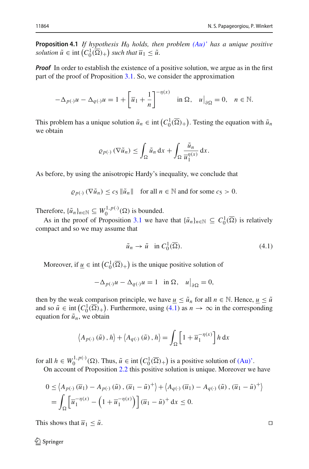**Proposition 4.1** *If hypothesis H*<sup>0</sup> *holds, then problem [\(Au\)'](#page-14-1) has a unique positive solution*  $\tilde{u} \in \text{int}\left(C_0^1(\overline{\Omega})_+\right)$  *such that*  $\overline{u}_1 \leq \tilde{u}$ *.* 

*Proof* In order to establish the existence of a positive solution, we argue as in the first part of the proof of Proposition [3.1.](#page-8-2) So, we consider the approximation

$$
-\Delta_{p(\cdot)}u - \Delta_{q(\cdot)}u = 1 + \left[\overline{u}_1 + \frac{1}{n}\right]^{-\eta(x)} \quad \text{in } \Omega, \quad u\big|_{\partial\Omega} = 0, \quad n \in \mathbb{N}.
$$

This problem has a unique solution  $\tilde{u}_n \in \text{int}\left(C_0^1(\overline{\Omega})_+\right)$ . Testing the equation with  $\tilde{u}_n$ we obtain

$$
\varrho_{p(\cdot)}\left(\nabla \tilde{u}_n\right) \leq \int_{\Omega} \tilde{u}_n \, dx + \int_{\Omega} \frac{\tilde{u}_n}{\overline{u}_1^{\eta(x)}} \, dx.
$$

As before, by using the anisotropic Hardy's inequality, we conclude that

 $\varrho_{p(\cdot)} (\nabla \tilde{u}_n) \leq c_5 \|\tilde{u}_n\|$  for all  $n \in \mathbb{N}$  and for some  $c_5 > 0$ .

Therefore,  $\{\tilde{u}_n\}_{n \in \mathbb{N}} \subseteq W_0^{1,p(\cdot)}(\Omega)$  is bounded.

As in the proof of Proposition [3.1](#page-8-2) we have that  $\{\tilde{u}_n\}_{n\in\mathbb{N}} \subseteq C_0^1(\overline{\Omega})$  is relatively compact and so we may assume that

<span id="page-15-0"></span>
$$
\tilde{u}_n \to \tilde{u} \quad \text{in } C_0^1(\overline{\Omega}).\tag{4.1}
$$

Moreover, if  $\underline{u} \in \text{int}\left(C_0^1(\overline{\Omega})_+\right)$  is the unique positive solution of

$$
-\Delta_{p(\cdot)}u - \Delta_{q(\cdot)}u = 1 \quad \text{in } \Omega, \quad u\big|_{\partial\Omega} = 0,
$$

then by the weak comparison principle, we have  $u \leq \tilde{u}_n$  for all  $n \in \mathbb{N}$ . Hence,  $u \leq \tilde{u}$ and so  $\tilde{u} \in \text{int}(C_0^1(\overline{\Omega})_+)$ . Furthermore, using [\(4.1\)](#page-15-0) as  $n \to \infty$  in the corresponding equation for  $\tilde{u}_n$ , we obtain

$$
\langle A_{p(\cdot)}(\tilde{u}), h \rangle + \langle A_{q(\cdot)}(\tilde{u}), h \rangle = \int_{\Omega} \left[ 1 + \overline{u}_1^{-\eta(x)} \right] h \, dx
$$

for all  $h \in W_0^{1,p(\cdot)}(\Omega)$ . Thus,  $\tilde{u} \in \text{int}\left(C_0^1(\overline{\Omega})_+\right)$  is a positive solution of  $(Au)$ .

On account of Proposition [2.2](#page-4-0) this positive solution is unique. Moreover we have

$$
0 \leq \langle A_{p(\cdot)}(\overline{u}_1) - A_{p(\cdot)}(\tilde{u}), (\overline{u}_1 - \tilde{u})^+ \rangle + \langle A_{q(\cdot)}(\overline{u}_1) - A_{q(\cdot)}(\tilde{u}), (\overline{u}_1 - \tilde{u})^+ \rangle
$$
  
= 
$$
\int_{\Omega} \left[ \overline{u}_1^{-\eta(x)} - \left( 1 + \overline{u}_1^{-\eta(x)} \right) \right] (\overline{u}_1 - \tilde{u})^+ dx \leq 0.
$$

This shows that  $\overline{u}_1 \leq \tilde{u}$ .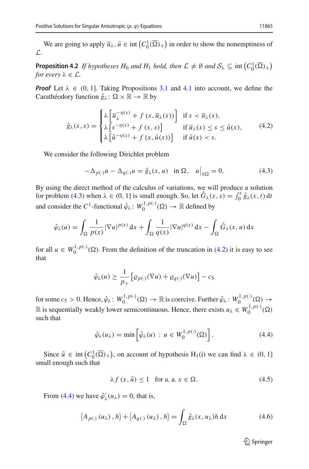<span id="page-16-5"></span>We are going to apply  $\overline{u}_{\lambda}$ ,  $\tilde{u} \in \text{int}\left(C_0^1(\overline{\Omega})_+\right)$  in order to show the nonemptiness of *L*.

**Proposition 4.2** *If hypotheses H*<sub>0</sub> *and H*<sub>1</sub> *hold, then*  $\mathcal{L} \neq \emptyset$  *and*  $\mathcal{S}_{\lambda} \subseteq \text{int}(C_0^1(\overline{\Omega})_+)$ *for every*  $\lambda \in \mathcal{L}$ *.* 

*Proof* Let  $\lambda \in (0, 1]$ . Taking Propositions [3.1](#page-8-2) and [4.1](#page-14-2) into account, we define the Carathéodory function  $\hat{g}_{\lambda} \colon \Omega \times \mathbb{R} \to \mathbb{R}$  by

$$
\hat{g}_{\lambda}(x,s) = \begin{cases}\n\lambda \left[ \overline{u}_{\lambda}^{-\eta(x)} + f(x, \overline{u}_{\lambda}(x)) \right] & \text{if } s < \overline{u}_{\lambda}(x), \\
\lambda \left[ s^{-\eta(x)} + f(x,s) \right] & \text{if } \overline{u}_{\lambda}(x) \le s \le \tilde{u}(x), \\
\lambda \left[ \tilde{u}^{-\eta(x)} + f(x, \tilde{u}(x)) \right] & \text{if } \tilde{u}(x) < s.\n\end{cases} \tag{4.2}
$$

We consider the following Dirichlet problem

<span id="page-16-1"></span><span id="page-16-0"></span>
$$
-\Delta_{p(\cdot)}u - \Delta_{q(\cdot)}u = \hat{g}_{\lambda}(x, u) \quad \text{in } \Omega, \quad u\big|_{\partial\Omega} = 0. \tag{4.3}
$$

By using the direct method of the calculus of variations, we will produce a solution for problem [\(4.3\)](#page-16-0) when  $\lambda \in (0, 1]$  is small enough. So, let  $\hat{G}_{\lambda}(x, s) = \int_0^s \hat{g}_{\lambda}(x, t) dt$ and consider the  $C^1$ -functional  $\hat{\varphi}_\lambda \colon W_0^{1,p(\cdot)}(\Omega) \to \mathbb{R}$  defined by

$$
\hat{\varphi}_{\lambda}(u) = \int_{\Omega} \frac{1}{p(x)} |\nabla u|^{p(x)} dx + \int_{\Omega} \frac{1}{q(x)} |\nabla u|^{q(x)} dx - \int_{\Omega} \hat{G}_{\lambda}(x, u) dx
$$

for all  $u \in W_0^{1,p(\cdot)}(\Omega)$ . From the definition of the truncation in [\(4.2\)](#page-16-1) it is easy to see that

$$
\hat{\varphi}_{\lambda}(u) \ge \frac{1}{p_+} \left[ \varrho_{p(\cdot)}(\nabla u) + \varrho_{q(\cdot)}(\nabla u) \right] - c_5
$$

for some  $c_5 > 0$ . Hence,  $\hat{\varphi}_\lambda : W_0^{1,p(\cdot)}(\Omega) \to \mathbb{R}$  is coercive. Further  $\hat{\varphi}_\lambda : W_0^{1,p(\cdot)}(\Omega) \to$ R is sequentially weakly lower semicontinuous. Hence, there exists  $u_{\lambda} \in W_0^{1, p(\cdot)}(\Omega)$ such that

$$
\hat{\varphi}_{\lambda}(u_{\lambda}) = \min\left[\hat{\varphi}_{\lambda}(u) : u \in W_0^{1, p(\cdot)}(\Omega)\right].
$$
\n(4.4)

Since  $\tilde{u} \in \text{int}(C_0^1(\overline{\Omega})_+)$ , on account of hypothesis H<sub>1</sub>(i) we can find  $\lambda \in (0, 1]$ small enough such that

> $\lambda f(x, \tilde{u}) \leq 1$  for a. a.  $x \in \Omega$ .  $(4.5)$

From [\(4.4\)](#page-16-2) we have  $\hat{\varphi}'_{\lambda}(u_{\lambda}) = 0$ , that is,

$$
\langle A_{p(\cdot)}(u_{\lambda}), h \rangle + \langle A_{q(\cdot)}(u_{\lambda}), h \rangle = \int_{\Omega} \hat{g}_{\lambda}(x, u_{\lambda}) h \, dx \tag{4.6}
$$

<span id="page-16-4"></span><span id="page-16-3"></span><span id="page-16-2"></span> $\mathcal{D}$  Springer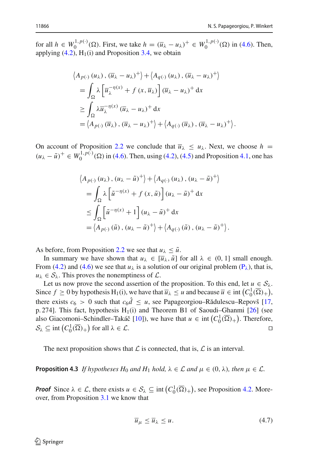.

for all  $h \in W_0^{1,p(\cdot)}(\Omega)$ . First, we take  $h = (\overline{u}_{\lambda} - u_{\lambda})^+ \in W_0^{1,p(\cdot)}(\Omega)$  in [\(4.6\)](#page-16-3). Then, applying  $(4.2)$ ,  $H_1(i)$  and Proposition [3.4,](#page-9-3) we obtain

$$
\langle A_{p(\cdot)} (u_{\lambda}), (\overline{u}_{\lambda} - u_{\lambda})^{+} \rangle + \langle A_{q(\cdot)} (u_{\lambda}), (\overline{u}_{\lambda} - u_{\lambda})^{+} \rangle
$$
  
= 
$$
\int_{\Omega} \lambda \left[ \overline{u}_{\lambda}^{-\eta(x)} + f(x, \overline{u}_{\lambda}) \right] (\overline{u}_{\lambda} - u_{\lambda})^{+} dx
$$
  

$$
\geq \int_{\Omega} \lambda \overline{u}_{\lambda}^{-\eta(x)} (\overline{u}_{\lambda} - u_{\lambda})^{+} dx
$$
  
= 
$$
\langle A_{p(\cdot)} (\overline{u}_{\lambda}), (\overline{u}_{\lambda} - u_{\lambda})^{+} \rangle + \langle A_{q(\cdot)} (\overline{u}_{\lambda}), (\overline{u}_{\lambda} - u_{\lambda})^{+} \rangle
$$

On account of Proposition [2.2](#page-4-0) we conclude that  $\overline{u}_{\lambda} \le u_{\lambda}$ . Next, we choose  $h =$  $(u_{\lambda} - \tilde{u})^+ \in W_0^{1, p(\cdot)}(\Omega)$  in [\(4.6\)](#page-16-3). Then, using [\(4.2\)](#page-16-1), [\(4.5\)](#page-16-4) and Proposition [4.1,](#page-14-2) one has

$$
\langle A_{p(\cdot)} (u_{\lambda}), (u_{\lambda} - \tilde{u})^{+} \rangle + \langle A_{q(\cdot)} (u_{\lambda}), (u_{\lambda} - \tilde{u})^{+} \rangle
$$
  
= 
$$
\int_{\Omega} \lambda \left[ \tilde{u}^{-\eta(x)} + f(x, \tilde{u}) \right] (u_{\lambda} - \tilde{u})^{+} dx
$$
  

$$
\leq \int_{\Omega} \left[ \tilde{u}^{-\eta(x)} + 1 \right] (u_{\lambda} - \tilde{u})^{+} dx
$$
  
= 
$$
\langle A_{p(\cdot)} (\tilde{u}), (u_{\lambda} - \tilde{u})^{+} \rangle + \langle A_{q(\cdot)} (\tilde{u}), (u_{\lambda} - \tilde{u})^{+} \rangle.
$$

As before, from Proposition [2.2](#page-4-0) we see that  $u_{\lambda} \leq \tilde{u}$ .

In summary we have shown that  $u_{\lambda} \in [\overline{u}_{\lambda}, \tilde{u}]$  for all  $\lambda \in (0, 1]$  small enough. From [\(4.2\)](#page-16-1) and [\(4.6\)](#page-16-3) we see that  $u_{\lambda}$  is a solution of our original problem ( $P_{\lambda}$ ), that is,  $u_{\lambda} \in S_{\lambda}$ . This proves the nonemptiness of  $\mathcal{L}$ .

Let us now prove the second assertion of the proposition. To this end, let  $u \in S_\lambda$ . Since  $f \ge 0$  by hypothesis H<sub>1</sub>(i), we have that  $\overline{u}_{\lambda} \le u$  and because  $\overline{u} \in \text{int}\left(C_0^1(\overline{\Omega})_+\right)$ , there exists  $c_6 > 0$  such that  $c_6 \hat{d} \leq u$ , see Papageorgiou–Rădulescu–Repovš [\[17,](#page-27-10) p. 274]. This fact, hypothesis  $H_1(i)$  and Theorem B1 of Saoudi–Ghanmi [\[26\]](#page-28-3) (see also Giacomoni–Schindler–Takáč [\[10\]](#page-27-16)), we have that  $u \in \text{int}\left(C_0^1(\overline{\Omega})_+\right)$ . Therefore,  $S_{\lambda} \subseteq \text{int}\left(C_0^1(\overline{\Omega})_+\right)$  for all  $\lambda \in \mathcal{L}$ .

The next proposition shows that  $\mathcal L$  is connected, that is,  $\mathcal L$  is an interval.

**Proposition 4.3** *If hypotheses*  $H_0$  *and*  $H_1$  *hold,*  $\lambda \in \mathcal{L}$  *and*  $\mu \in (0, \lambda)$ *, then*  $\mu \in \mathcal{L}$ *.* 

*Proof* Since  $\lambda \in \mathcal{L}$ , there exists  $u \in \mathcal{S}_{\lambda} \subseteq \text{int}(C_0^1(\overline{\Omega})_+)$ , see Proposition [4.2.](#page-16-5) Moreover, from Proposition [3.1](#page-8-2) we know that

<span id="page-17-0"></span>
$$
\overline{u}_{\mu} \le \overline{u}_{\lambda} \le u. \tag{4.7}
$$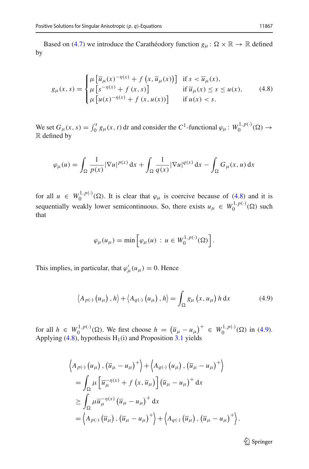Based on [\(4.7\)](#page-17-0) we introduce the Carathéodory function  $g_{\mu} \colon \Omega \times \mathbb{R} \to \mathbb{R}$  defined by

<span id="page-18-0"></span>
$$
g_{\mu}(x,s) = \begin{cases} \mu \left[ \overline{u}_{\mu}(x)^{-\eta(x)} + f(x, \overline{u}_{\mu}(x)) \right] & \text{if } s < \overline{u}_{\mu}(x), \\ \mu \left[ s^{-\eta(x)} + f(x,s) \right] & \text{if } \overline{u}_{\mu}(x) \le s \le u(x), \\ \mu \left[ u(x)^{-\eta(x)} + f(x, u(x)) \right] & \text{if } u(x) < s. \end{cases}
$$
(4.8)

We set  $G_\mu(x, s) = \int_0^s g_\mu(x, t) dt$  and consider the  $C^1$ -functional  $\varphi_\mu : W_0^{1, p(\cdot)}(\Omega) \to$ R defined by

$$
\varphi_{\mu}(u) = \int_{\Omega} \frac{1}{p(x)} |\nabla u|^{p(x)} dx + \int_{\Omega} \frac{1}{q(x)} |\nabla u|^{q(x)} dx - \int_{\Omega} G_{\mu}(x, u) dx
$$

for all  $u \in W_0^{1,p(\cdot)}(\Omega)$ . It is clear that  $\varphi_\mu$  is coercive because of [\(4.8\)](#page-18-0) and it is sequentially weakly lower semicontinuous. So, there exists  $u_{\mu} \in W_0^{1, p(\cdot)}(\Omega)$  such that

<span id="page-18-1"></span>
$$
\varphi_{\mu}(u_{\mu}) = \min \left[ \varphi_{\mu}(u) : u \in W_0^{1, p(\cdot)}(\Omega) \right].
$$

This implies, in particular, that  $\varphi'_{\mu}(u_{\mu}) = 0$ . Hence

$$
\langle A_{p(\cdot)}(u_{\mu}), h \rangle + \langle A_{q(\cdot)}(u_{\mu}), h \rangle = \int_{\Omega} g_{\mu}(x, u_{\mu}) h \, dx \tag{4.9}
$$

for all  $h \in W_0^{1,p(\cdot)}(\Omega)$ . We first choose  $h = (\overline{u}_{\mu} - u_{\mu})^+ \in W_0^{1,p(\cdot)}(\Omega)$  in [\(4.9\)](#page-18-1). Applying  $(4.8)$ , hypothesis  $H_1(i)$  and Proposition [3.1](#page-8-2) yields

$$
\langle A_{p(\cdot)} (u_{\mu}), (\overline{u}_{\mu} - u_{\mu})^{+} \rangle + \langle A_{q(\cdot)} (u_{\mu}), (\overline{u}_{\mu} - u_{\mu})^{+} \rangle
$$
  
= 
$$
\int_{\Omega} \mu \left[ \overline{u}_{\mu}^{-\eta(x)} + f(x, \overline{u}_{\mu}) \right] (\overline{u}_{\mu} - u_{\mu})^{+} dx
$$
  

$$
\geq \int_{\Omega} \mu \overline{u}_{\mu}^{-\eta(x)} (\overline{u}_{\mu} - u_{\mu})^{+} dx
$$
  
= 
$$
\langle A_{p(\cdot)} (\overline{u}_{\mu}), (\overline{u}_{\mu} - u_{\mu})^{+} \rangle + \langle A_{q(\cdot)} (\overline{u}_{\mu}), (\overline{u}_{\mu} - u_{\mu})^{+} \rangle.
$$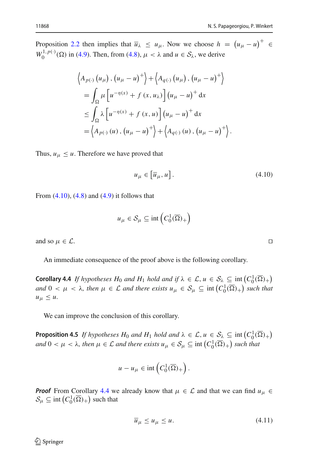Proposition [2.2](#page-4-0) then implies that  $\overline{u}_{\lambda} \leq u_{\mu}$ . Now we choose  $h = (u_{\mu} - u)^{+} \in$  $W_0^{1,p(\cdot)}(\Omega)$  in [\(4.9\)](#page-18-1). Then, from [\(4.8\)](#page-18-0),  $\mu < \lambda$  and  $u \in S_\lambda$ , we derive

$$
\langle A_{p(\cdot)} (u_{\mu}), (u_{\mu} - u)^+ \rangle + \langle A_{q(\cdot)} (u_{\mu}), (u_{\mu} - u)^+ \rangle
$$
  
= 
$$
\int_{\Omega} \mu \left[ u^{-\eta(x)} + f(x, u_{\lambda}) \right] (u_{\mu} - u)^+ dx
$$
  

$$
\leq \int_{\Omega} \lambda \left[ u^{-\eta(x)} + f(x, u) \right] (u_{\mu} - u)^+ dx
$$
  
= 
$$
\langle A_{p(\cdot)} (u), (u_{\mu} - u)^+ \rangle + \langle A_{q(\cdot)} (u), (u_{\mu} - u)^+ \rangle.
$$

Thus,  $u_{\mu} \leq u$ . Therefore we have proved that

$$
u_{\mu} \in \left[\overline{u}_{\mu}, u\right]. \tag{4.10}
$$

From  $(4.10)$ ,  $(4.8)$  and  $(4.9)$  it follows that

$$
u_{\mu} \in \mathcal{S}_{\mu} \subseteq \text{int}\left(C_0^1(\overline{\Omega})_+\right)
$$

and so  $\mu \in \mathcal{L}$ .

<span id="page-19-1"></span>An immediate consequence of the proof above is the following corollary.

**Corollary 4.4** *If hypotheses H*<sub>0</sub> *and H*<sub>1</sub> *hold and if*  $\lambda \in \mathcal{L}$ ,  $u \in \mathcal{S}_{\lambda} \subseteq \text{int}(C_0^1(\overline{\Omega})_+)$ *and*  $0 < \mu < \lambda$ , then  $\mu \in \mathcal{L}$  *and there exists*  $u_{\mu} \in \mathcal{S}_{\mu} \subseteq \text{int}(C_0^1(\overline{\Omega})_+)$  *such that*  $u_{\mu} \leq u.$ 

<span id="page-19-3"></span>We can improve the conclusion of this corollary.

**Proposition 4.5** *If hypotheses H*<sub>0</sub> *and*  $H_1$  *hold and*  $\lambda \in \mathcal{L}$ ,  $u \in \mathcal{S}_\lambda \subseteq \text{int}(C_0^1(\overline{\Omega})_+)$ *and*  $0 < \mu < \lambda$ , then  $\mu \in \mathcal{L}$  *and there exists*  $u_{\mu} \in \mathcal{S}_{\mu} \subseteq \text{int}\left(C_0^1(\overline{\Omega})_+\right)$  *such that* 

$$
u - u_{\mu} \in \text{int}\left(C_0^1(\overline{\Omega})_+\right).
$$

*Proof* From Corollary [4.4](#page-19-1) we already know that  $\mu \in \mathcal{L}$  and that we can find  $u_{\mu} \in$  $S_\mu \subseteq \text{int}\left(C_0^1(\overline{\Omega})_+\right)$  such that

<span id="page-19-2"></span>
$$
\overline{u}_{\mu} \le u_{\mu} \le u. \tag{4.11}
$$

<span id="page-19-0"></span>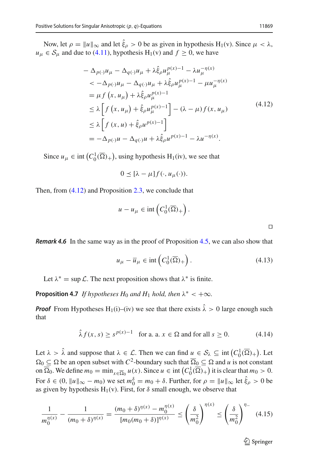Now, let  $\rho = ||u||_{\infty}$  and let  $\xi_{\rho} > 0$  be as given in hypothesis H<sub>1</sub>(v). Since  $\mu < \lambda$ ,  $u_{\mu} \in S_{\mu}$  and due to [\(4.11\)](#page-19-2), hypothesis  $H_1(v)$  and  $f \ge 0$ , we have

$$
-\Delta_{p(\cdot)} u_{\mu} - \Delta_{q(\cdot)} u_{\mu} + \lambda \hat{\xi}_{\rho} u_{\mu}^{p(x)-1} - \lambda u_{\mu}^{-\eta(x)}
$$
  

$$
< -\Delta_{p(\cdot)} u_{\mu} - \Delta_{q(\cdot)} u_{\mu} + \lambda \hat{\xi}_{\rho} u_{\mu}^{p(x)-1} - \mu u_{\mu}^{-\eta(x)}
$$
  

$$
= \mu f(x, u_{\mu}) + \lambda \hat{\xi}_{\rho} u_{\mu}^{p(x)-1}
$$
  

$$
\leq \lambda \left[ f(x, u_{\mu}) + \hat{\xi}_{\rho} u_{\mu}^{p(x)-1} \right] - (\lambda - \mu) f(x, u_{\mu})
$$
  

$$
\leq \lambda \left[ f(x, u) + \hat{\xi}_{\rho} u^{p(x)-1} \right]
$$
  

$$
= -\Delta_{p(\cdot)} u - \Delta_{q(\cdot)} u + \lambda \hat{\xi}_{\rho} u^{p(x)-1} - \lambda u^{-\eta(x)}.
$$
 (4.12)

Since  $u_{\mu} \in \text{int} (C_0^1(\overline{\Omega})_+)$ , using hypothesis H<sub>1</sub>(iv), we see that

$$
0 \leq [\lambda - \mu] f(\cdot, u_{\mu}(\cdot)).
$$

Then, from [\(4.12\)](#page-20-0) and Proposition [2.3,](#page-5-0) we conclude that

$$
u - u_{\mu} \in \text{int}\left(C_0^1(\overline{\Omega})_+\right).
$$

*Remark 4.6* In the same way as in the proof of Proposition [4.5,](#page-19-3) we can also show that

$$
u_{\mu} - \overline{u}_{\mu} \in \text{int}\left(C_0^1(\overline{\Omega})_+\right). \tag{4.13}
$$

Let  $\lambda^* = \sup \mathcal{L}$ . The next proposition shows that  $\lambda^*$  is finite.

**Proposition 4.7** *If hypotheses*  $H_0$  *and*  $H_1$  *hold, then*  $\lambda^* < +\infty$ *.* 

*Proof* From Hypotheses H<sub>1</sub>(i)–(iv) we see that there exists  $\hat{\lambda} > 0$  large enough such that

$$
\hat{\lambda} f(x, s) \ge s^{p(x)-1} \quad \text{for a. a. } x \in \Omega \text{ and for all } s \ge 0. \tag{4.14}
$$

Let  $\lambda > \hat{\lambda}$  and suppose that  $\lambda \in \mathcal{L}$ . Then we can find  $\mu \in \mathcal{S}_{\lambda} \subseteq \text{int}\left(C_0^1(\overline{\Omega})_+\right)$ . Let  $\Omega_0 \subseteq \Omega$  be an open subset with  $C^2$ -boundary such that  $\overline{\Omega}_0 \subseteq \Omega$  and *u* is not constant on  $\overline{\Omega}_0$ . We define  $m_0 = \min_{x \in \overline{\Omega}_0} u(x)$ . Since  $u \in \text{int}\left(C_0^1(\overline{\Omega})_+\right)$  it is clear that  $m_0 > 0$ . For  $\delta \in (0, ||u||_{\infty} - m_0)$  we set  $m_0^{\delta} = m_0 + \delta$ . Further, for  $\rho = ||u||_{\infty}$  let  $\hat{\xi}_{\rho} > 0$  be as given by hypothesis  $H_1(v)$ . First, for  $\delta$  small enough, we observe that

$$
\frac{1}{m_0^{\eta(x)}} - \frac{1}{(m_0 + \delta)^{\eta(x)}} = \frac{(m_0 + \delta)^{\eta(x)} - m_0^{\eta(x)}}{[m_0(m_0 + \delta)]^{\eta(x)}} \le \left(\frac{\delta}{m_0^2}\right)^{\eta(x)} \le \left(\frac{\delta}{m_0^2}\right)^{\eta -} (4.15)
$$

<span id="page-20-1"></span> $\mathcal{D}$  Springer

<span id="page-20-3"></span><span id="page-20-2"></span><span id="page-20-0"></span> $\Box$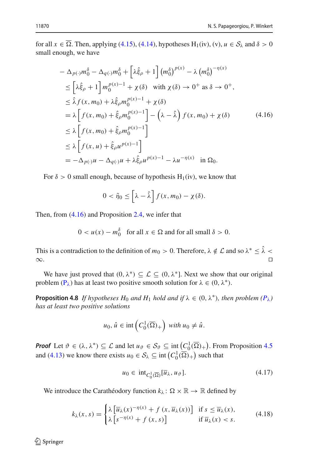for all  $x \in \Omega$ . Then, applying [\(4.15\)](#page-20-1), [\(4.14\)](#page-20-2), hypotheses H<sub>1</sub>(iv), (v),  $u \in S_\lambda$  and  $\delta > 0$ small enough, we have

$$
-\Delta_{p(\cdot)}m_{0}^{\delta} - \Delta_{q(\cdot)}m_{0}^{\delta} + \left[\lambda \hat{\xi}_{\rho} + 1\right](m_{0}^{\delta})^{p(x)} - \lambda (m_{0}^{\delta})^{-\eta(x)}
$$
  
\n
$$
\leq \left[\lambda \hat{\xi}_{\rho} + 1\right]m_{0}^{p(x)-1} + \chi(\delta) \quad \text{with } \chi(\delta) \to 0^{+} \text{ as } \delta \to 0^{+},
$$
  
\n
$$
\leq \hat{\lambda}f(x, m_{0}) + \lambda \hat{\xi}_{\rho}m_{0}^{p(x)-1} + \chi(\delta)
$$
  
\n
$$
= \lambda \left[f(x, m_{0}) + \hat{\xi}_{\rho}m_{0}^{p(x)-1}\right] - \left(\lambda - \hat{\lambda}\right)f(x, m_{0}) + \chi(\delta)
$$
  
\n
$$
\leq \lambda \left[f(x, m_{0}) + \hat{\xi}_{\rho}m_{0}^{p(x)-1}\right]
$$
  
\n
$$
\leq \lambda \left[f(x, u) + \hat{\xi}_{\rho}u^{p(x)-1}\right]
$$
  
\n
$$
= -\Delta_{p(\cdot)}u - \Delta_{q(\cdot)}u + \lambda \hat{\xi}_{\rho}u^{p(x)-1} - \lambda u^{-\eta(x)} \quad \text{in } \Omega_{0}.
$$

For  $\delta > 0$  small enough, because of hypothesis H<sub>1</sub>(iv), we know that

<span id="page-21-0"></span>
$$
0 < \tilde{\eta}_0 \leq \left[\lambda - \hat{\lambda}\right] f(x, m_0) - \chi(\delta).
$$

Then, from [\(4.16\)](#page-21-0) and Proposition [2.4,](#page-5-1) we infer that

$$
0 < u(x) - m_0^\delta \quad \text{for all } x \in \Omega \text{ and for all small } \delta > 0.
$$

This is a contradiction to the definition of  $m_0 > 0$ . Therefore,  $\lambda \notin \mathcal{L}$  and so  $\lambda^* \leq \hat{\lambda} < \infty$ . ∞. □

<span id="page-21-3"></span>We have just proved that  $(0, \lambda^*) \subseteq \mathcal{L} \subseteq (0, \lambda^*]$ . Next we show that our original problem  $(P_{\lambda})$  $(P_{\lambda})$  has at least two positive smooth solution for  $\lambda \in (0, \lambda^*)$ .

**Proposition 4.8** *If hypotheses H*<sub>0</sub> *and H*<sub>1</sub> *hold and if*  $\lambda \in (0, \lambda^*)$ *, then problem*  $(P_{\lambda})$  $(P_{\lambda})$ *has at least two positive solutions*

$$
u_0, \hat{u} \in \text{int}\left(C_0^1(\overline{\Omega})_+\right) \text{ with } u_0 \neq \hat{u}.
$$

*Proof* Let  $\vartheta \in (\lambda, \lambda^*) \subseteq \mathcal{L}$  and let  $u_{\vartheta} \in \mathcal{S}_{\vartheta} \subseteq \text{int}\left(\frac{C_0^1(\overline{\Omega})}{\lambda}\right)$ . From Proposition [4.5](#page-19-3) and [\(4.13\)](#page-20-3) we know there exists  $u_0 \in S_\lambda \subseteq \text{int}\left(C_0^1(\overline{\Omega})_+\right)$  such that

<span id="page-21-2"></span><span id="page-21-1"></span>
$$
u_0 \in \text{int}_{C_0^1(\overline{\Omega})}[\overline{u}_\lambda, u_\vartheta].\tag{4.17}
$$

We introduce the Carathéodory function  $k_{\lambda}$ :  $\Omega \times \mathbb{R} \to \mathbb{R}$  defined by

$$
k_{\lambda}(x,s) = \begin{cases} \lambda \left[ \overline{u}_{\lambda}(x)^{-\eta(x)} + f(x, \overline{u}_{\lambda}(x)) \right] & \text{if } s \le \overline{u}_{\lambda}(x), \\ \lambda \left[ s^{-\eta(x)} + f(x,s) \right] & \text{if } \overline{u}_{\lambda}(x) < s. \end{cases} \tag{4.18}
$$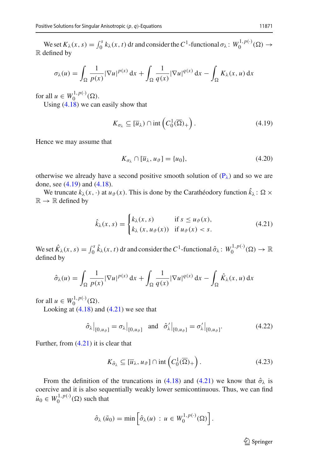We set  $K_{\lambda}(x, s) = \int_0^s k_{\lambda}(x, t) dt$  and consider the  $C^1$ -functional  $\sigma_{\lambda}: W_0^{1, p(\cdot)}(\Omega) \to$ R defined by

$$
\sigma_{\lambda}(u) = \int_{\Omega} \frac{1}{p(x)} |\nabla u|^{p(x)} dx + \int_{\Omega} \frac{1}{q(x)} |\nabla u|^{q(x)} dx - \int_{\Omega} K_{\lambda}(x, u) dx
$$

for all  $u \in W_0^{1,p(\cdot)}(\Omega)$ .

Using  $(4.18)$  we can easily show that

$$
K_{\sigma_{\lambda}} \subseteq [\overline{u}_{\lambda}) \cap \text{int}\left(C_0^1(\overline{\Omega})_+\right). \tag{4.19}
$$

Hence we may assume that

<span id="page-22-4"></span><span id="page-22-1"></span><span id="page-22-0"></span>
$$
K_{\sigma_{\lambda}} \cap [\overline{u}_{\lambda}, u_{\vartheta}] = \{u_0\},\tag{4.20}
$$

otherwise we already have a second positive smooth solution of  $(P_{\lambda})$  $(P_{\lambda})$  and so we are done, see [\(4.19\)](#page-22-0) and [\(4.18\)](#page-21-1).

We truncate  $k_{\lambda}(x, \cdot)$  at  $u_{\vartheta}(x)$ . This is done by the Carathéodory function  $k_{\lambda} : \Omega \times$  $\mathbb{R} \to \mathbb{R}$  defined by

$$
\hat{k}_{\lambda}(x,s) = \begin{cases} k_{\lambda}(x,s) & \text{if } s \le u_{\vartheta}(x), \\ k_{\lambda}(x,u_{\vartheta}(x)) & \text{if } u_{\vartheta}(x) < s. \end{cases}
$$
\n(4.21)

We set  $\hat{K}_{\lambda}(x, s) = \int_0^s \hat{k}_{\lambda}(x, t) dt$  and consider the  $C^1$ -functional  $\hat{\sigma}_{\lambda} : W_0^{1, p(\cdot)}(\Omega) \to \mathbb{R}$ defined by

$$
\hat{\sigma}_{\lambda}(u) = \int_{\Omega} \frac{1}{p(x)} |\nabla u|^{p(x)} dx + \int_{\Omega} \frac{1}{q(x)} |\nabla u|^{q(x)} dx - \int_{\Omega} \hat{K}_{\lambda}(x, u) dx
$$

for all  $u \in W_0^{1,p(\cdot)}(\Omega)$ .

Looking at  $(4.18)$  and  $(4.21)$  we see that

$$
\left.\hat{\sigma}_{\lambda}\right|_{[0,u_{\vartheta}]} = \sigma_{\lambda}\left|_{[0,u_{\vartheta}]} \quad \text{and} \quad \hat{\sigma}'_{\lambda}\right|_{[0,u_{\vartheta}]} = \sigma'_{\lambda}\left|_{[0,u_{\vartheta}]}.\right.
$$
\n(4.22)

Further, from [\(4.21\)](#page-22-1) it is clear that

<span id="page-22-3"></span><span id="page-22-2"></span>
$$
K_{\hat{\sigma}_{\lambda}} \subseteq [\overline{u}_{\lambda}, u_{\vartheta}] \cap \text{int}\left(C_0^1(\overline{\Omega})_+\right). \tag{4.23}
$$

From the definition of the truncations in [\(4.18\)](#page-21-1) and [\(4.21\)](#page-22-1) we know that  $\hat{\sigma}_{\lambda}$  is coercive and it is also sequentially weakly lower semicontinuous. Thus, we can find  $\tilde{u}_0 \in W_0^{1, p(\cdot)}(\Omega)$  such that

$$
\hat{\sigma}_{\lambda}(\tilde{u}_0)=\min\left[\hat{\sigma}_{\lambda}(u): u\in W_0^{1,p(\cdot)}(\Omega)\right].
$$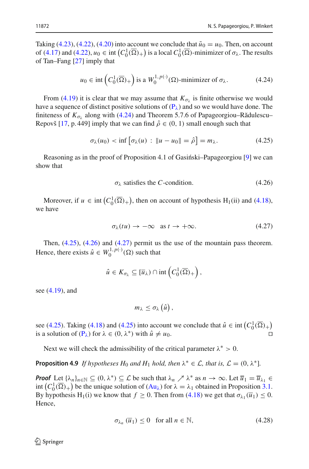Taking [\(4.23\)](#page-22-2), [\(4.22\)](#page-22-3), [\(4.20\)](#page-22-4) into account we conclude that  $\tilde{u}_0 = u_0$ . Then, on account of  $(4.17)$  and  $(4.22)$ ,  $u_0 \in \text{int}\left(C_0^1(\overline{\Omega})_+\right)$  is a local  $C_0^1(\overline{\Omega})$ -minimizer of  $\sigma_\lambda$ . The results of Tan–Fang [\[27\]](#page-28-10) imply that

<span id="page-23-0"></span>
$$
u_0 \in \text{int}\left(C_0^1(\overline{\Omega})_+\right) \text{ is a } W_0^{1,p(\cdot)}(\Omega) \text{-minimizer of } \sigma_\lambda. \tag{4.24}
$$

From [\(4.19\)](#page-22-0) it is clear that we may assume that  $K_{\sigma_{\lambda}}$  is finite otherwise we would have a sequence of distinct positive solutions of  $(P_{\lambda})$  $(P_{\lambda})$  and so we would have done. The finiteness of  $K_{\sigma_1}$  along with [\(4.24\)](#page-23-0) and Theorem 5.7.6 of Papageorgiou–Rădulescu– Repovš [\[17](#page-27-10), p. 449] imply that we can find  $\hat{\rho} \in (0, 1)$  small enough such that

$$
\sigma_{\lambda}(u_0) < \inf \left[ \sigma_{\lambda}(u) \, : \, \|u - u_0\| = \hat{\rho} \right] = m_{\lambda}.\tag{4.25}
$$

Reasoning as in the proof of Proposition 4.1 of Gasingside-Papageorgiou [\[9\]](#page-27-7) we can show that

<span id="page-23-2"></span><span id="page-23-1"></span>
$$
\sigma_{\lambda} \text{ satisfies the } C\text{-condition.} \tag{4.26}
$$

Moreover, if  $u \in \text{int}(C_0^1(\overline{\Omega})_+)$ , then on account of hypothesis H<sub>1</sub>(ii) and [\(4.18\)](#page-21-1), we have

<span id="page-23-3"></span>
$$
\sigma_{\lambda}(tu) \to -\infty \quad \text{as } t \to +\infty. \tag{4.27}
$$

Then, [\(4.25\)](#page-23-1), [\(4.26\)](#page-23-2) and [\(4.27\)](#page-23-3) permit us the use of the mountain pass theorem. Hence, there exists  $\hat{u} \in W_0^{1,p(\cdot)}(\Omega)$  such that

$$
\hat{u} \in K_{\sigma_{\lambda}} \subseteq [\overline{u}_{\lambda}) \cap \mathrm{int}\left(C_0^1(\overline{\Omega})_+\right),\,
$$

see [\(4.19\)](#page-22-0), and

 $m_{\lambda} \leq \sigma_{\lambda}(\hat{u}),$ 

see [\(4.25\)](#page-23-1). Taking [\(4.18\)](#page-21-1) and (4.25) into account we conclude that  $\hat{u} \in \text{int}\left(C_0^1(\overline{\Omega})_+\right)$ is a solution of  $(P_\lambda)$  $(P_\lambda)$  for  $\lambda \in (0, \lambda^*)$  with  $\hat{u} \neq u_0$ .

Next we will check the admissibility of the critical parameter  $\lambda^* > 0$ .

**Proposition 4.9** *If hypotheses*  $H_0$  *and*  $H_1$  *hold, then*  $\lambda^* \in \mathcal{L}$ *, that is,*  $\mathcal{L} = (0, \lambda^*)$ *.* 

*Proof* Let  $\{\lambda_n\}_{n\in\mathbb{N}} \subseteq (0, \lambda^*) \subseteq \mathcal{L}$  be such that  $\lambda_n \nearrow \lambda^*$  as  $n \to \infty$ . Let  $\overline{u}_1 = \overline{u}_{\lambda_1} \in$ int  $(C_0^1(\overline{\Omega})_+)$  be the unique solution of  $(Au_\lambda)$  $(Au_\lambda)$  for  $\lambda = \lambda_1$  obtained in Proposition [3.1.](#page-8-2) By hypothesis H<sub>1</sub>(i) we know that  $f \ge 0$ . Then from [\(4.18\)](#page-21-1) we get that  $\sigma_{\lambda_1}(\bar{u}_1) \le 0$ . Hence,

<span id="page-23-4"></span>
$$
\sigma_{\lambda_n}(\overline{u}_1) \le 0 \quad \text{for all } n \in \mathbb{N},\tag{4.28}
$$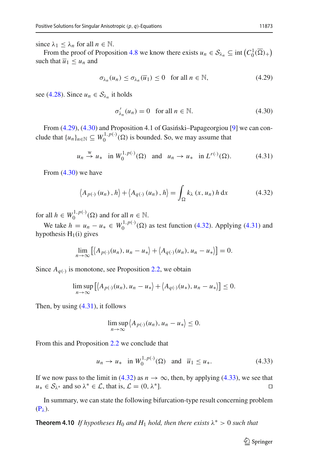since  $\lambda_1 \leq \lambda_n$  for all  $n \in \mathbb{N}$ .

From the proof of Proposition [4.8](#page-21-3) we know there exists  $u_n \in S_{\lambda_n} \subseteq \text{int}\left(C_0^1(\overline{\Omega})_+\right)$ such that  $\overline{u}_1 \leq u_n$  and

$$
\sigma_{\lambda_n}(u_n) \le \sigma_{\lambda_n}(\overline{u}_1) \le 0 \quad \text{for all } n \in \mathbb{N},\tag{4.29}
$$

see [\(4.28\)](#page-23-4). Since  $u_n \in S_{\lambda_n}$  it holds

<span id="page-24-3"></span><span id="page-24-2"></span><span id="page-24-1"></span><span id="page-24-0"></span>
$$
\sigma'_{\lambda_n}(u_n) = 0 \quad \text{for all } n \in \mathbb{N}.\tag{4.30}
$$

From  $(4.29)$ ,  $(4.30)$  and Proposition 4.1 of Gasiński–Papageorgiou [\[9](#page-27-7)] we can conclude that  $\{u_n\}_{n \in \mathbb{N}} \subseteq W_0^{1,p(\cdot)}(\Omega)$  is bounded. So, we may assume that

$$
u_n \stackrel{w}{\rightarrow} u_*
$$
 in  $W_0^{1,p(\cdot)}(\Omega)$  and  $u_n \rightarrow u_*$  in  $L^{r(\cdot)}(\Omega)$ . (4.31)

From [\(4.30\)](#page-24-1) we have

$$
\langle A_{p(\cdot)}(u_n), h \rangle + \langle A_{q(\cdot)}(u_n), h \rangle = \int_{\Omega} k_{\lambda}(x, u_n) h \, dx \tag{4.32}
$$

for all  $h \in W_0^{1,p(\cdot)}(\Omega)$  and for all  $n \in \mathbb{N}$ .

We take *h* = *u<sub>n</sub>* − *u*<sup>∗</sup> ∈ *W*<sub>0</sub><sup>1,*p*(·)</sup>(Ω) as test function [\(4.32\)](#page-24-2). Applying [\(4.31\)](#page-24-3) and hypothesis  $H_1(i)$  gives

$$
\lim_{n\to\infty}\left[\left\langle A_{p(\cdot)}(u_n),u_n-u_*\right\rangle+\left\langle A_{q(\cdot)}(u_n),u_n-u_*\right\rangle\right]=0.
$$

Since  $A_{q(·)}$  is monotone, see Proposition [2.2,](#page-4-0) we obtain

$$
\limsup_{n\to\infty}\left[\left\langle A_{p(\cdot)}(u_n),u_n-u_*\right\rangle+\left\langle A_{q(\cdot)}(u_*),u_n-u_*\right\rangle\right]\leq 0.
$$

Then, by using [\(4.31\)](#page-24-3), it follows

$$
\limsup_{n\to\infty}\left\langle A_{p(\cdot)}(u_n),u_n-u_*\right\rangle\leq 0.
$$

From this and Proposition [2.2](#page-4-0) we conclude that

$$
u_n \to u_* \quad \text{in } W_0^{1,p(\cdot)}(\Omega) \quad \text{and} \quad \overline{u}_1 \le u_*.
$$

If we now pass to the limit in [\(4.32\)](#page-24-2) as *n* → ∞, then, by applying [\(4.33\)](#page-24-4), we see that  $u_* \in S_{1*}$  and so  $\lambda^* \in L$ , that is,  $L = (0, \lambda^*]$ .  $u_* \in S_{\lambda^*}$  and so  $\lambda^* \in \mathcal{L}$ , that is,  $\mathcal{L} = (0, \lambda^*)$ .

In summary, we can state the following bifurcation-type result concerning problem  $(P_{\lambda})$  $(P_{\lambda})$ .

**Theorem 4.10** *If hypotheses*  $H_0$  *and*  $H_1$  *hold, then there exists*  $\lambda^* > 0$  *such that* 

<span id="page-24-4"></span><sup>2</sup> Springer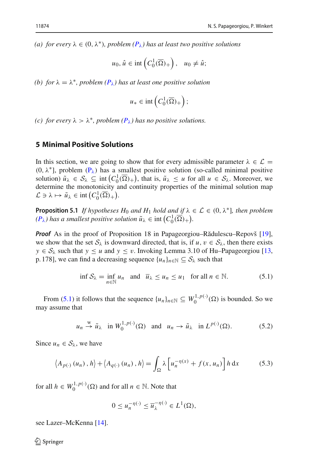*(a) for every*  $\lambda \in (0, \lambda^*)$ *, problem*  $(P_{\lambda})$  $(P_{\lambda})$  has at least two positive solutions

$$
u_0, \hat{u} \in \text{int}\left(C_0^1(\overline{\Omega})_+\right), \quad u_0 \neq \hat{u};
$$

*(b)* for  $\lambda = \lambda^*$ , problem  $(P_{\lambda})$  $(P_{\lambda})$  has at least one positive solution

$$
u_* \in \mathrm{int}\left(C_0^1(\overline{\Omega})_+\right);
$$

*(c) for every*  $\lambda > \lambda^*$ *, problem*  $(P_{\lambda})$  $(P_{\lambda})$  has no positive solutions.

## **5 Minimal Positive Solutions**

In this section, we are going to show that for every admissible parameter  $\lambda \in \mathcal{L}$  = (0,  $\lambda^*$ ], problem [\(P](#page-0-0)<sub> $\lambda$ </sub>) has a smallest positive solution (so-called minimal positive solution)  $\tilde{u}_{\lambda} \in S_{\lambda} \subseteq \text{int} \left( C_0^1(\overline{\Omega})_+ \right)$ , that is,  $\tilde{u}_{\lambda} \leq u$  for all  $u \in S_{\lambda}$ . Moreover, we determine the monotonicity and continuity properties of the minimal solution map  $\mathcal{L} \ni \lambda \mapsto \tilde{u}_{\lambda} \in \text{int}\left( C_0^1(\overline{\Omega})_+ \right).$ 

**Proposition 5.1** *If hypotheses*  $H_0$  *and*  $H_1$  *hold and if*  $\lambda \in \mathcal{L} \in (0, \lambda^*]$ *, then problem*  $(P_{\lambda})$  $(P_{\lambda})$  has a smallest positive solution  $\tilde{u}_{\lambda} \in \text{int}\left(C_0^1(\overline{\Omega})_+\right)$ .

*Proof* As in the proof of Proposition 18 in Papageorgiou–Rădulescu–Repovš [\[19](#page-27-17)], we show that the set  $S_\lambda$  is downward directed, that is, if  $u, v \in S_\lambda$ , then there exists *y* ∈  $S_\lambda$  such that *y* ≤ *u* and *y* ≤ *v*. Invoking Lemma 3.10 of Hu–Papageorgiou [\[13,](#page-27-18) p. 178], we can find a decreasing sequence  $\{u_n\}_{n\in\mathbb{N}}\subseteq S_\lambda$  such that

<span id="page-25-0"></span>
$$
\inf \mathcal{S}_{\lambda} = \inf_{n \in \mathbb{N}} u_n \quad \text{and} \quad \overline{u}_{\lambda} \le u_n \le u_1 \quad \text{for all } n \in \mathbb{N}.
$$

From [\(5.1\)](#page-25-0) it follows that the sequence  $\{u_n\}_{n\in\mathbb{N}} \subseteq W_0^{1,p(\cdot)}(\Omega)$  is bounded. So we may assume that

$$
u_n \stackrel{w}{\rightarrow} \tilde{u}_{\lambda}
$$
 in  $W_0^{1,p(\cdot)}(\Omega)$  and  $u_n \rightarrow \tilde{u}_{\lambda}$  in  $L^{p(\cdot)}(\Omega)$ . (5.2)

Since  $u_n \in S_\lambda$ , we have

$$
\langle A_{p(\cdot)}(u_n), h \rangle + \langle A_{q(\cdot)}(u_n), h \rangle = \int_{\Omega} \lambda \left[ u_n^{-\eta(x)} + f(x, u_n) \right] h \, dx \tag{5.3}
$$

for all  $h \in W_0^{1,p(\cdot)}(\Omega)$  and for all  $n \in \mathbb{N}$ . Note that

<span id="page-25-2"></span><span id="page-25-1"></span>
$$
0 \le u_n^{-\eta(\cdot)} \le \overline{u}_{\lambda}^{-\eta(\cdot)} \in L^1(\Omega),
$$

see Lazer–McKenna [\[14](#page-27-15)].

 $\textcircled{2}$  Springer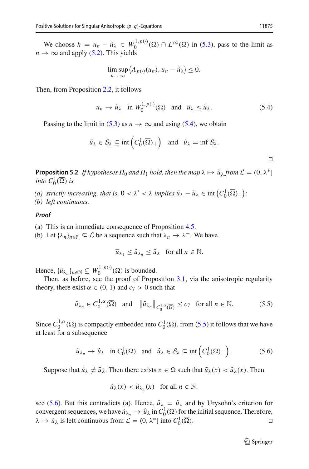We choose  $h = u_n - \tilde{u}_\lambda \in W_0^{1,p(\cdot)}(\Omega) \cap L^\infty(\Omega)$  in [\(5.3\)](#page-25-1), pass to the limit as  $n \to \infty$  and apply [\(5.2\)](#page-25-2). This yields

$$
\limsup_{n\to\infty}\left\langle A_{p(\cdot)}(u_n), u_n-\tilde{u}_\lambda\right\rangle\leq 0.
$$

Then, from Proposition [2.2,](#page-4-0) it follows

$$
u_n \to \tilde{u}_\lambda \quad \text{in } W_0^{1,p(\cdot)}(\Omega) \quad \text{and} \quad \overline{u}_\lambda \le \tilde{u}_\lambda. \tag{5.4}
$$

Passing to the limit in [\(5.3\)](#page-25-1) as  $n \to \infty$  and using [\(5.4\)](#page-26-0), we obtain

$$
\tilde{u}_{\lambda} \in \mathcal{S}_{\lambda} \subseteq \text{int}\left(C_0^1(\overline{\Omega})_+\right) \text{ and } \tilde{u}_{\lambda} = \text{inf } \mathcal{S}_{\lambda}.
$$

**Proposition 5.2** *If hypotheses*  $H_0$  *and*  $H_1$  *hold, then the map*  $\lambda \mapsto \tilde{u}_\lambda$  *from*  $\mathcal{L} = (0, \lambda^*)$ *into*  $C_0^1(\overline{\Omega})$  *is* 

*(a) strictly increasing, that is,*  $0 < \lambda' < \lambda$  *implies*  $\tilde{u}_{\lambda} - \tilde{u}_{\lambda} \in \text{int}(C_0^1(\overline{\Omega})_+);$ 

*(b) left continuous.*

#### *Proof*

(a) This is an immediate consequence of Proposition [4.5.](#page-19-3)

(b) Let  $\{\lambda_n\}_{n\in\mathbb{N}}\subseteq\mathcal{L}$  be a sequence such that  $\lambda_n\to\lambda^-$ . We have

$$
\overline{u}_{\lambda_1} \le \tilde{u}_{\lambda_n} \le \tilde{u}_{\lambda} \quad \text{for all } n \in \mathbb{N}.
$$

Hence,  $\{\tilde{u}_{\lambda_n}\}_{n \in \mathbb{N}} \subseteq W_0^{1,p(\cdot)}(\Omega)$  is bounded.

Then, as before, see the proof of Proposition [3.1,](#page-8-2) via the anisotropic regularity theory, there exist  $\alpha \in (0, 1)$  and  $c_7 > 0$  such that

$$
\tilde{u}_{\lambda_n} \in C_0^{1,\alpha}(\overline{\Omega}) \quad \text{and} \quad \left\| \tilde{u}_{\lambda_n} \right\|_{C_0^{1,\alpha}(\overline{\Omega})} \le c_7 \quad \text{for all } n \in \mathbb{N}.
$$

Since  $C_0^{1,\alpha}(\overline{\Omega})$  is compactly embedded into  $C_0^1(\overline{\Omega})$ , from [\(5.5\)](#page-26-1) it follows that we have at least for a subsequence

$$
\tilde{u}_{\lambda_n} \to \hat{u}_{\lambda}
$$
 in  $C_0^1(\overline{\Omega})$  and  $\hat{u}_{\lambda} \in S_{\lambda} \subseteq \text{int}\left(C_0^1(\overline{\Omega})_+\right)$ . (5.6)

Suppose that  $\hat{u}_{\lambda} \neq \tilde{u}_{\lambda}$ . Then there exists  $x \in \Omega$  such that  $\tilde{u}_{\lambda}(x) < \hat{u}_{\lambda}(x)$ . Then

<span id="page-26-2"></span>
$$
\tilde{u}_{\lambda}(x) < \tilde{u}_{\lambda_n}(x) \quad \text{for all } n \in \mathbb{N},
$$

see [\(5.6\)](#page-26-2). But this contradicts (a). Hence,  $\hat{u}_{\lambda} = \tilde{u}_{\lambda}$  and by Urysohn's criterion for convergent sequences, we have  $\tilde{u}_{\lambda_n} \to \hat{u}_{\lambda}$  in  $C_0^1(\overline{\Omega})$  for the initial sequence. Therefore,  $\lambda \mapsto \tilde{u}_{\lambda}$  is left continuous from  $\mathcal{L} = (0, \lambda^*]$  into  $C_0^1(\overline{\Omega})$ ).

<span id="page-26-1"></span><span id="page-26-0"></span> $\Box$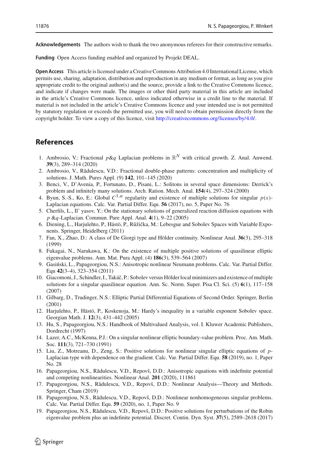**Funding** Open Access funding enabled and organized by Projekt DEAL.

**Open Access** This article is licensed under a Creative Commons Attribution 4.0 International License, which permits use, sharing, adaptation, distribution and reproduction in any medium or format, as long as you give appropriate credit to the original author(s) and the source, provide a link to the Creative Commons licence, and indicate if changes were made. The images or other third party material in this article are included in the article's Creative Commons licence, unless indicated otherwise in a credit line to the material. If material is not included in the article's Creative Commons licence and your intended use is not permitted by statutory regulation or exceeds the permitted use, you will need to obtain permission directly from the copyright holder. To view a copy of this licence, visit [http://creativecommons.org/licenses/by/4.0/.](http://creativecommons.org/licenses/by/4.0/)

## **References**

- <span id="page-27-4"></span>1. Ambrosio, V.: Fractional  $p\&q$  Laplacian problems in  $\mathbb{R}^N$  with critical growth. Z. Anal. Anwend. **39**(3), 289–314 (2020)
- <span id="page-27-5"></span>2. Ambrosio, V., Rădulescu, V.D.: Fractional double-phase patterns: concentration and multiplicity of solutions. J. Math. Pures Appl. (9) **142**, 101–145 (2020)
- <span id="page-27-0"></span>3. Benci, V., D'Avenia, P., Fortunato, D., Pisani, L.: Solitons in several space dimensions: Derrick's problem and infinitely many solutions. Arch. Ration. Mech. Anal. **154**(4), 297–324 (2000)
- <span id="page-27-3"></span>4. Byun, S.-S., Ko, E.: Global  $C^{1,\alpha}$  regularity and existence of multiple solutions for singular  $p(x)$ -Laplacian equations. Calc. Var. Partial Differ. Equ. **56** (2017), no. 5, Paper No. 76
- <span id="page-27-1"></span>5. Cherfils, L., Il' yasov, Y.: On the stationary solutions of generalized reaction diffusion equations with *p* &*q*-Laplacian. Commun. Pure Appl. Anal. **4**(1), 9–22 (2005)
- <span id="page-27-2"></span>6. Diening, L., Harjulehto, P., Hästö, P., Růžička, M.: Lebesgue and Sobolev Spaces with Variable Exponents. Springer, Heidelberg (2011)
- <span id="page-27-11"></span>7. Fan, X., Zhao, D.: A class of De Giorgi type and Hölder continuity. Nonlinear Anal. **36**(3), 295–318 (1999)
- <span id="page-27-12"></span>8. Fukagai, N., Narukawa, K.: On the existence of multiple positive solutions of quasilinear elliptic eigenvalue problems. Ann. Mat. Pura Appl. (4) **186**(3), 539–564 (2007)
- <span id="page-27-7"></span>9. Gasiński, L., Papageorgiou, N.S.: Anisotropic nonlinear Neumann problems. Calc. Var. Partial Differ. Equ **42**(3–4), 323–354 (2011)
- <span id="page-27-16"></span>10. Giacomoni, J., Schindler, I., Takáˇc, P.: Sobolev versus Hölder local minimizers and existence of multiple solutions for a singular quasilinear equation. Ann. Sc. Norm. Super. Pisa Cl. Sci. (5) **6**(1), 117–158 (2007)
- <span id="page-27-13"></span>11. Gilbarg, D., Trudinger, N.S.: Elliptic Partial Differential Equations of Second Order. Springer, Berlin (2001)
- <span id="page-27-14"></span>12. Harjulehto, P., Hästö, P., Koskenoja, M.: Hardy's inequality in a variable exponent Sobolev space. Georgian Math. J. **12**(3), 431–442 (2005)
- <span id="page-27-18"></span>13. Hu, S., Papageorgiou, N.S.: Handbook of Multivalued Analysis, vol. I. Kluwer Academic Publishers, Dordrecht (1997)
- <span id="page-27-15"></span>14. Lazer, A.C., McKenna, P.J.: On a singular nonlinear elliptic boundary-value problem. Proc. Am. Math. Soc. **111**(3), 721–730 (1991)
- <span id="page-27-6"></span>15. Liu, Z., Motreanu, D., Zeng, S.: Positive solutions for nonlinear singular elliptic equations of *p*-Laplacian type with dependence on the gradient. Calc. Var. Partial Differ. Equ. **58** (2019), no. 1, Paper No. 28
- <span id="page-27-8"></span>16. Papageorgiou, N.S., Rădulescu, V.D., Repovš, D.D.: Anisotropic equations with indefinite potential and competing nonlinearities. Nonlinear Anal. **201** (2020), 111861
- <span id="page-27-10"></span>17. Papageorgiou, N.S., Rădulescu, V.D., Repovš, D.D.: Nonlinear Analysis—Theory and Methods. Springer, Cham (2019)
- <span id="page-27-9"></span>18. Papageorgiou, N.S., Rădulescu, V.D., Repovš, D.D.: Nonlinear nonhomogeneous singular problems. Calc. Var. Partial Differ. Equ. **59** (2020), no. 1, Paper No. 9
- <span id="page-27-17"></span>19. Papageorgiou, N.S., Rădulescu, V.D., Repovš, D.D.: Positive solutions for perturbations of the Robin eigenvalue problem plus an indefinite potential. Discret. Contin. Dyn. Syst. **37**(5), 2589–2618 (2017)